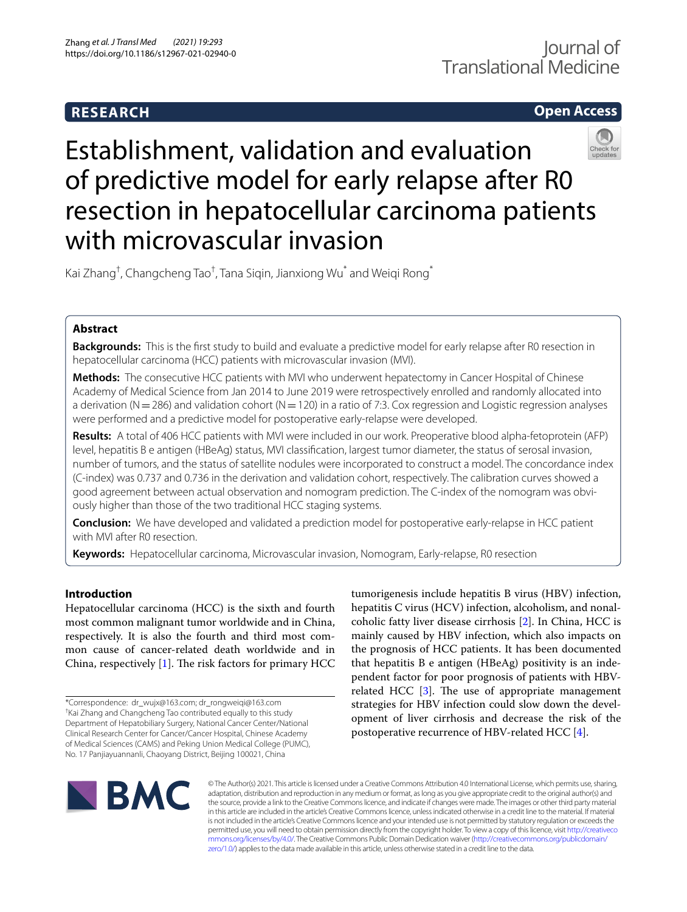# **RESEARCH**

## **Open Access**



# Establishment, validation and evaluation of predictive model for early relapse after R0 resection in hepatocellular carcinoma patients with microvascular invasion

Kai Zhang<sup>†</sup>, Changcheng Tao<sup>†</sup>, Tana Siqin, Jianxiong Wu $^*$  and Weiqi Rong $^*$ 

## **Abstract**

**Backgrounds:** This is the frst study to build and evaluate a predictive model for early relapse after R0 resection in hepatocellular carcinoma (HCC) patients with microvascular invasion (MVI).

**Methods:** The consecutive HCC patients with MVI who underwent hepatectomy in Cancer Hospital of Chinese Academy of Medical Science from Jan 2014 to June 2019 were retrospectively enrolled and randomly allocated into a derivation ( $N=286$ ) and validation cohort ( $N=120$ ) in a ratio of 7:3. Cox regression and Logistic regression analyses were performed and a predictive model for postoperative early-relapse were developed.

**Results:** A total of 406 HCC patients with MVI were included in our work. Preoperative blood alpha-fetoprotein (AFP) level, hepatitis B e antigen (HBeAg) status, MVI classifcation, largest tumor diameter, the status of serosal invasion, number of tumors, and the status of satellite nodules were incorporated to construct a model. The concordance index (C-index) was 0.737 and 0.736 in the derivation and validation cohort, respectively. The calibration curves showed a good agreement between actual observation and nomogram prediction. The C-index of the nomogram was obviously higher than those of the two traditional HCC staging systems.

**Conclusion:** We have developed and validated a prediction model for postoperative early-relapse in HCC patient with MVI after R0 resection.

**Keywords:** Hepatocellular carcinoma, Microvascular invasion, Nomogram, Early-relapse, R0 resection

## **Introduction**

Hepatocellular carcinoma (HCC) is the sixth and fourth most common malignant tumor worldwide and in China, respectively. It is also the fourth and third most common cause of cancer-related death worldwide and in China, respectively  $[1]$  $[1]$ . The risk factors for primary HCC

tumorigenesis include hepatitis B virus (HBV) infection, hepatitis C virus (HCV) infection, alcoholism, and nonalcoholic fatty liver disease cirrhosis [\[2](#page-12-1)]. In China, HCC is mainly caused by HBV infection, which also impacts on the prognosis of HCC patients. It has been documented that hepatitis B e antigen (HBeAg) positivity is an independent factor for poor prognosis of patients with HBVrelated HCC  $[3]$  $[3]$ . The use of appropriate management strategies for HBV infection could slow down the development of liver cirrhosis and decrease the risk of the postoperative recurrence of HBV-related HCC [\[4](#page-12-3)].



© The Author(s) 2021. This article is licensed under a Creative Commons Attribution 4.0 International License, which permits use, sharing, adaptation, distribution and reproduction in any medium or format, as long as you give appropriate credit to the original author(s) and the source, provide a link to the Creative Commons licence, and indicate if changes were made. The images or other third party material in this article are included in the article's Creative Commons licence, unless indicated otherwise in a credit line to the material. If material is not included in the article's Creative Commons licence and your intended use is not permitted by statutory regulation or exceeds the permitted use, you will need to obtain permission directly from the copyright holder. To view a copy of this licence, visit [http://creativeco](http://creativecommons.org/licenses/by/4.0/) [mmons.org/licenses/by/4.0/.](http://creativecommons.org/licenses/by/4.0/) The Creative Commons Public Domain Dedication waiver ([http://creativecommons.org/publicdomain/](http://creativecommons.org/publicdomain/zero/1.0/) [zero/1.0/\)](http://creativecommons.org/publicdomain/zero/1.0/) applies to the data made available in this article, unless otherwise stated in a credit line to the data.

<sup>\*</sup>Correspondence: dr\_wujx@163.com; dr\_rongweiqi@163.com † Kai Zhang and Changcheng Tao contributed equally to this study Department of Hepatobiliary Surgery, National Cancer Center/National Clinical Research Center for Cancer/Cancer Hospital, Chinese Academy of Medical Sciences (CAMS) and Peking Union Medical College (PUMC), No. 17 Panjiayuannanli, Chaoyang District, Beijing 100021, China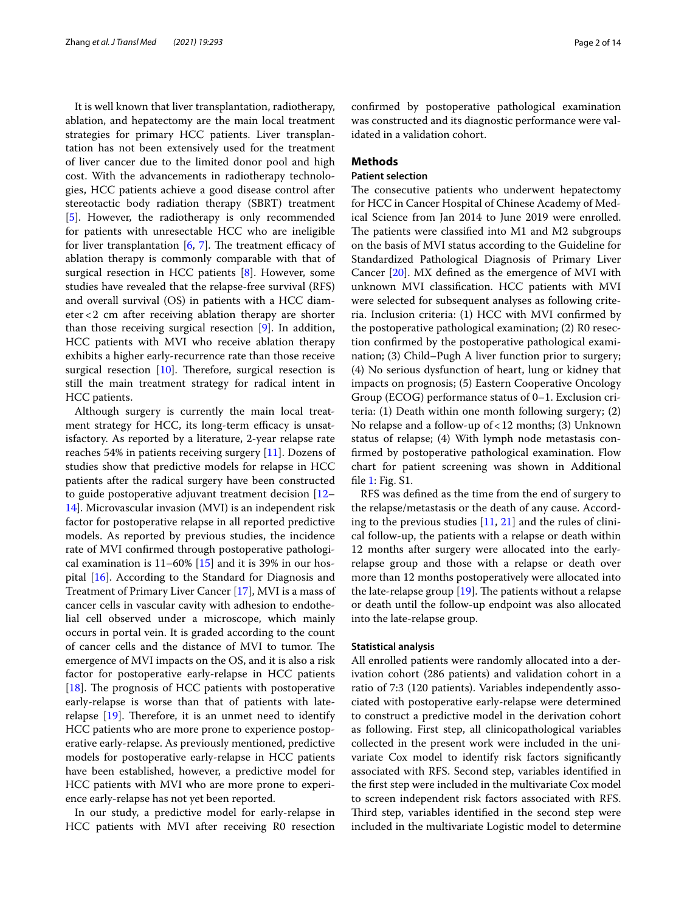It is well known that liver transplantation, radiotherapy, ablation, and hepatectomy are the main local treatment strategies for primary HCC patients. Liver transplantation has not been extensively used for the treatment of liver cancer due to the limited donor pool and high cost. With the advancements in radiotherapy technologies, HCC patients achieve a good disease control after stereotactic body radiation therapy (SBRT) treatment [[5\]](#page-12-4). However, the radiotherapy is only recommended for patients with unresectable HCC who are ineligible for liver transplantation  $[6, 7]$  $[6, 7]$  $[6, 7]$  $[6, 7]$ . The treatment efficacy of ablation therapy is commonly comparable with that of surgical resection in HCC patients [[8\]](#page-12-7). However, some studies have revealed that the relapse-free survival (RFS) and overall survival (OS) in patients with a HCC diameter<2 cm after receiving ablation therapy are shorter than those receiving surgical resection [\[9\]](#page-12-8). In addition, HCC patients with MVI who receive ablation therapy exhibits a higher early-recurrence rate than those receive surgical resection  $[10]$  $[10]$ . Therefore, surgical resection is still the main treatment strategy for radical intent in HCC patients.

Although surgery is currently the main local treatment strategy for HCC, its long-term efficacy is unsatisfactory. As reported by a literature, 2-year relapse rate reaches 54% in patients receiving surgery [\[11](#page-12-10)]. Dozens of studies show that predictive models for relapse in HCC patients after the radical surgery have been constructed to guide postoperative adjuvant treatment decision [[12–](#page-12-11) [14\]](#page-12-12). Microvascular invasion (MVI) is an independent risk factor for postoperative relapse in all reported predictive models. As reported by previous studies, the incidence rate of MVI confrmed through postoperative pathological examination is  $11-60\%$  [[15\]](#page-12-13) and it is 39% in our hospital [[16\]](#page-12-14). According to the Standard for Diagnosis and Treatment of Primary Liver Cancer [[17](#page-12-15)], MVI is a mass of cancer cells in vascular cavity with adhesion to endothelial cell observed under a microscope, which mainly occurs in portal vein. It is graded according to the count of cancer cells and the distance of MVI to tumor. The emergence of MVI impacts on the OS, and it is also a risk factor for postoperative early-relapse in HCC patients [[18\]](#page-12-16). The prognosis of HCC patients with postoperative early-relapse is worse than that of patients with laterelapse  $[19]$  $[19]$  $[19]$ . Therefore, it is an unmet need to identify HCC patients who are more prone to experience postoperative early-relapse. As previously mentioned, predictive models for postoperative early-relapse in HCC patients have been established, however, a predictive model for HCC patients with MVI who are more prone to experience early-relapse has not yet been reported.

In our study, a predictive model for early-relapse in HCC patients with MVI after receiving R0 resection confrmed by postoperative pathological examination was constructed and its diagnostic performance were validated in a validation cohort.

## **Methods**

## **Patient selection**

The consecutive patients who underwent hepatectomy for HCC in Cancer Hospital of Chinese Academy of Medical Science from Jan 2014 to June 2019 were enrolled. The patients were classified into M1 and M2 subgroups on the basis of MVI status according to the Guideline for Standardized Pathological Diagnosis of Primary Liver Cancer [\[20](#page-12-18)]. MX defned as the emergence of MVI with unknown MVI classifcation. HCC patients with MVI were selected for subsequent analyses as following criteria. Inclusion criteria: (1) HCC with MVI confrmed by the postoperative pathological examination; (2) R0 resection confrmed by the postoperative pathological examination; (3) Child–Pugh A liver function prior to surgery; (4) No serious dysfunction of heart, lung or kidney that impacts on prognosis; (5) Eastern Cooperative Oncology Group (ECOG) performance status of 0–1. Exclusion criteria: (1) Death within one month following surgery; (2) No relapse and a follow-up of<12 months; (3) Unknown status of relapse; (4) With lymph node metastasis confrmed by postoperative pathological examination. Flow chart for patient screening was shown in Additional fle [1](#page-12-19): Fig. S1.

RFS was defned as the time from the end of surgery to the relapse/metastasis or the death of any cause. According to the previous studies  $[11, 21]$  $[11, 21]$  $[11, 21]$  $[11, 21]$  and the rules of clinical follow-up, the patients with a relapse or death within 12 months after surgery were allocated into the earlyrelapse group and those with a relapse or death over more than 12 months postoperatively were allocated into the late-relapse group  $[19]$  $[19]$ . The patients without a relapse or death until the follow-up endpoint was also allocated into the late-relapse group.

#### **Statistical analysis**

All enrolled patients were randomly allocated into a derivation cohort (286 patients) and validation cohort in a ratio of 7:3 (120 patients). Variables independently associated with postoperative early-relapse were determined to construct a predictive model in the derivation cohort as following. First step, all clinicopathological variables collected in the present work were included in the univariate Cox model to identify risk factors signifcantly associated with RFS. Second step, variables identifed in the frst step were included in the multivariate Cox model to screen independent risk factors associated with RFS. Third step, variables identified in the second step were included in the multivariate Logistic model to determine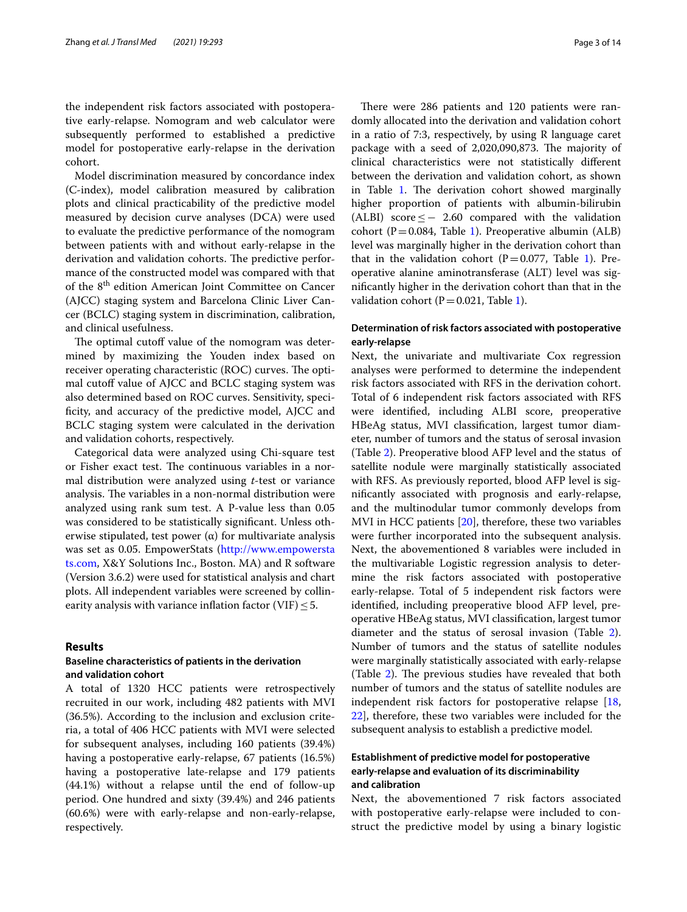the independent risk factors associated with postoperative early-relapse. Nomogram and web calculator were subsequently performed to established a predictive model for postoperative early-relapse in the derivation cohort.

Model discrimination measured by concordance index (C-index), model calibration measured by calibration plots and clinical practicability of the predictive model measured by decision curve analyses (DCA) were used to evaluate the predictive performance of the nomogram between patients with and without early-relapse in the derivation and validation cohorts. The predictive performance of the constructed model was compared with that of the 8th edition American Joint Committee on Cancer (AJCC) staging system and Barcelona Clinic Liver Cancer (BCLC) staging system in discrimination, calibration, and clinical usefulness.

The optimal cutoff value of the nomogram was determined by maximizing the Youden index based on receiver operating characteristic (ROC) curves. The optimal cutoff value of AJCC and BCLC staging system was also determined based on ROC curves. Sensitivity, specificity, and accuracy of the predictive model, AJCC and BCLC staging system were calculated in the derivation and validation cohorts, respectively.

Categorical data were analyzed using Chi-square test or Fisher exact test. The continuous variables in a normal distribution were analyzed using *t*-test or variance analysis. The variables in a non-normal distribution were analyzed using rank sum test. A P-value less than 0.05 was considered to be statistically signifcant. Unless otherwise stipulated, test power  $(\alpha)$  for multivariate analysis was set as 0.05. EmpowerStats [\(http://www.empowersta](http://www.empowerstats.com) [ts.com](http://www.empowerstats.com), X&Y Solutions Inc., Boston. MA) and R software (Version 3.6.2) were used for statistical analysis and chart plots. All independent variables were screened by collinearity analysis with variance inflation factor (VIF)  $\leq$  5.

### **Results**

## **Baseline characteristics of patients in the derivation and validation cohort**

A total of 1320 HCC patients were retrospectively recruited in our work, including 482 patients with MVI (36.5%). According to the inclusion and exclusion criteria, a total of 406 HCC patients with MVI were selected for subsequent analyses, including 160 patients (39.4%) having a postoperative early-relapse, 67 patients (16.5%) having a postoperative late-relapse and 179 patients (44.1%) without a relapse until the end of follow-up period. One hundred and sixty (39.4%) and 246 patients (60.6%) were with early-relapse and non-early-relapse, respectively.

There were 286 patients and 120 patients were randomly allocated into the derivation and validation cohort in a ratio of 7:3, respectively, by using R language caret package with a seed of 2,020,090,873. The majority of clinical characteristics were not statistically diferent between the derivation and validation cohort, as shown in Table [1.](#page-3-0) The derivation cohort showed marginally higher proportion of patients with albumin-bilirubin (ALBI) score  $\leq$  - 2.60 compared with the validation cohort (P=0.084, Table [1](#page-3-0)). Preoperative albumin (ALB) level was marginally higher in the derivation cohort than that in the validation cohort (P=0.077, Table [1](#page-3-0)). Preoperative alanine aminotransferase (ALT) level was signifcantly higher in the derivation cohort than that in the validation cohort ( $P = 0.021$ , Table [1\)](#page-3-0).

## **Determination of risk factors associated with postoperative early‑relapse**

Next, the univariate and multivariate Cox regression analyses were performed to determine the independent risk factors associated with RFS in the derivation cohort. Total of 6 independent risk factors associated with RFS were identifed, including ALBI score, preoperative HBeAg status, MVI classifcation, largest tumor diameter, number of tumors and the status of serosal invasion (Table [2\)](#page-5-0). Preoperative blood AFP level and the status of satellite nodule were marginally statistically associated with RFS. As previously reported, blood AFP level is signifcantly associated with prognosis and early-relapse, and the multinodular tumor commonly develops from MVI in HCC patients [[20\]](#page-12-18), therefore, these two variables were further incorporated into the subsequent analysis. Next, the abovementioned 8 variables were included in the multivariable Logistic regression analysis to determine the risk factors associated with postoperative early-relapse. Total of 5 independent risk factors were identifed, including preoperative blood AFP level, preoperative HBeAg status, MVI classifcation, largest tumor diameter and the status of serosal invasion (Table [2](#page-5-0)). Number of tumors and the status of satellite nodules were marginally statistically associated with early-relapse (Table  $2$ ). The previous studies have revealed that both number of tumors and the status of satellite nodules are independent risk factors for postoperative relapse [[18](#page-12-16), [22\]](#page-12-21), therefore, these two variables were included for the subsequent analysis to establish a predictive model.

## **Establishment of predictive model for postoperative early‑relapse and evaluation of its discriminability and calibration**

Next, the abovementioned 7 risk factors associated with postoperative early-relapse were included to construct the predictive model by using a binary logistic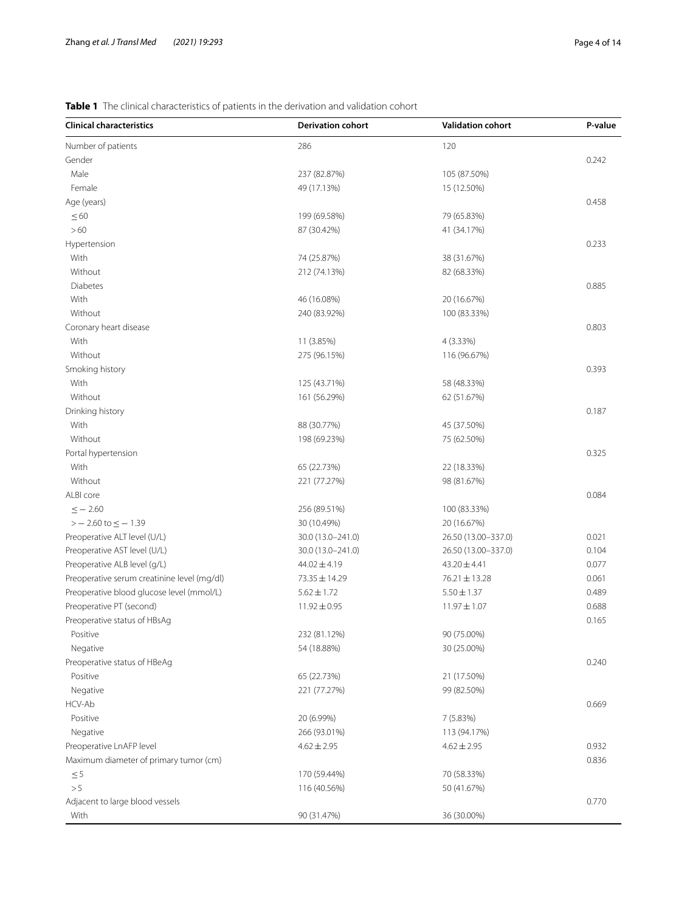## <span id="page-3-0"></span>**Table 1** The clinical characteristics of patients in the derivation and validation cohort

| <b>Clinical characteristics</b>             | <b>Derivation cohort</b> | <b>Validation cohort</b> | P-value |
|---------------------------------------------|--------------------------|--------------------------|---------|
| Number of patients                          | 286                      | 120                      |         |
| Gender                                      |                          |                          | 0.242   |
| Male                                        | 237 (82.87%)             | 105 (87.50%)             |         |
| Female                                      | 49 (17.13%)              | 15 (12.50%)              |         |
| Age (years)                                 |                          |                          | 0.458   |
| $\leq 60$                                   | 199 (69.58%)             | 79 (65.83%)              |         |
| $>60$                                       | 87 (30.42%)              | 41 (34.17%)              |         |
| Hypertension                                |                          |                          | 0.233   |
| With                                        | 74 (25.87%)              | 38 (31.67%)              |         |
| Without                                     | 212 (74.13%)             | 82 (68.33%)              |         |
| Diabetes                                    |                          |                          | 0.885   |
| With                                        | 46 (16.08%)              | 20 (16.67%)              |         |
| Without                                     | 240 (83.92%)             | 100 (83.33%)             |         |
| Coronary heart disease                      |                          |                          | 0.803   |
| With                                        | 11 (3.85%)               | 4 (3.33%)                |         |
| Without                                     | 275 (96.15%)             | 116 (96.67%)             |         |
| Smoking history                             |                          |                          | 0.393   |
| With                                        | 125 (43.71%)             | 58 (48.33%)              |         |
| Without                                     | 161 (56.29%)             | 62 (51.67%)              |         |
| Drinking history                            |                          |                          | 0.187   |
| With                                        | 88 (30.77%)              | 45 (37.50%)              |         |
| Without                                     | 198 (69.23%)             | 75 (62.50%)              |         |
| Portal hypertension                         |                          |                          | 0.325   |
| With                                        | 65 (22.73%)              | 22 (18.33%)              |         |
| Without                                     | 221 (77.27%)             | 98 (81.67%)              |         |
| ALBI core                                   |                          |                          | 0.084   |
| $\le -2.60$                                 | 256 (89.51%)             | 100 (83.33%)             |         |
| $> -2.60$ to $\le -1.39$                    | 30 (10.49%)              | 20 (16.67%)              |         |
| Preoperative ALT level (U/L)                | 30.0 (13.0-241.0)        | 26.50 (13.00-337.0)      | 0.021   |
| Preoperative AST level (U/L)                | 30.0 (13.0-241.0)        | 26.50 (13.00-337.0)      | 0.104   |
| Preoperative ALB level (g/L)                | 44.02 ± 4.19             | $43.20 \pm 4.41$         | 0.077   |
| Preoperative serum creatinine level (mg/dl) | 73.35 ± 14.29            | 76.21 ± 13.28            | 0.061   |
| Preoperative blood glucose level (mmol/L)   | $5.62 \pm 1.72$          | $5.50 \pm 1.37$          | 0.489   |
| Preoperative PT (second)                    | $11.92 \pm 0.95$         | $11.97 \pm 1.07$         | 0.688   |
| Preoperative status of HBsAg                |                          |                          | 0.165   |
| Positive                                    | 232 (81.12%)             | 90 (75.00%)              |         |
| Negative                                    | 54 (18.88%)              | 30 (25.00%)              |         |
| Preoperative status of HBeAg                |                          |                          | 0.240   |
| Positive                                    | 65 (22.73%)              | 21 (17.50%)              |         |
| Negative                                    | 221 (77.27%)             | 99 (82.50%)              |         |
| HCV-Ab                                      |                          |                          | 0.669   |
| Positive                                    | 20 (6.99%)               | 7 (5.83%)                |         |
| Negative                                    | 266 (93.01%)             | 113 (94.17%)             |         |
| Preoperative LnAFP level                    | $4.62 \pm 2.95$          | $4.62 \pm 2.95$          | 0.932   |
| Maximum diameter of primary tumor (cm)      |                          |                          | 0.836   |
| $\leq 5$                                    | 170 (59.44%)             | 70 (58.33%)              |         |
| > 5                                         | 116 (40.56%)             | 50 (41.67%)              |         |
| Adjacent to large blood vessels             |                          |                          | 0.770   |
| With                                        | 90 (31.47%)              | 36 (30.00%)              |         |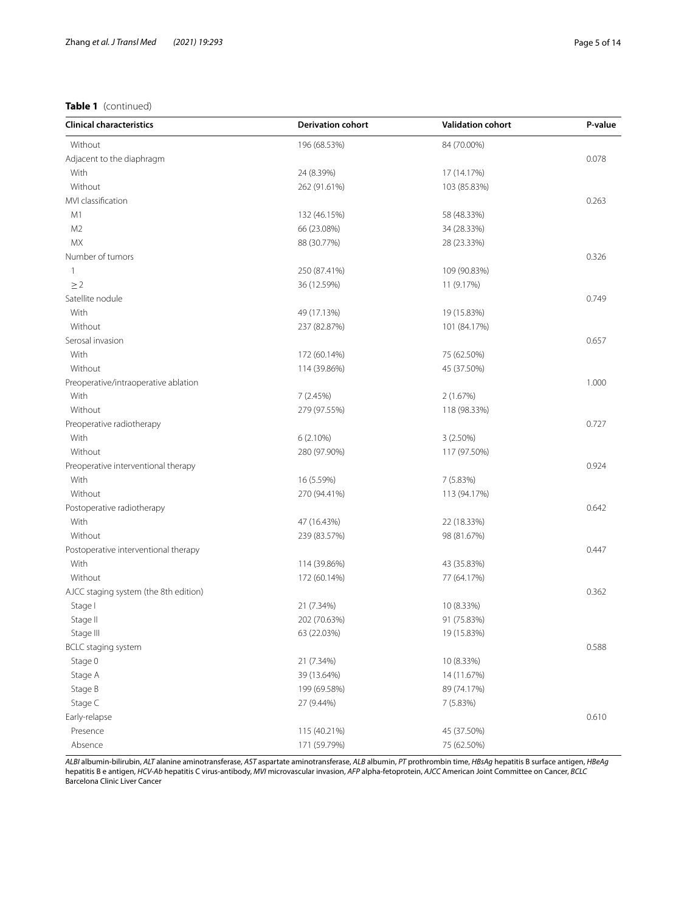## **Table 1** (continued)

| Without<br>84 (70.00%)<br>196 (68.53%)<br>Adjacent to the diaphragm<br>0.078<br>With<br>24 (8.39%)<br>17 (14.17%)<br>Without<br>262 (91.61%)<br>103 (85.83%)<br>MVI classification<br>0.263<br>M1<br>132 (46.15%)<br>58 (48.33%)<br>M <sub>2</sub><br>66 (23.08%)<br>34 (28.33%)<br><b>MX</b><br>88 (30.77%)<br>28 (23.33%)<br>Number of tumors<br>0.326<br>250 (87.41%)<br>109 (90.83%)<br>1<br>$\geq$ 2<br>36 (12.59%)<br>11 (9.17%)<br>Satellite nodule<br>0.749<br>With<br>19 (15.83%)<br>49 (17.13%)<br>Without<br>237 (82.87%)<br>101 (84.17%)<br>Serosal invasion<br>0.657<br>With<br>172 (60.14%)<br>75 (62.50%)<br>Without<br>114 (39.86%)<br>45 (37.50%)<br>1.000<br>Preoperative/intraoperative ablation<br>With<br>7(2.45%)<br>2(1.67%)<br>Without<br>279 (97.55%)<br>118 (98.33%)<br>0.727<br>Preoperative radiotherapy<br>With<br>6(2.10%)<br>3(2.50%)<br>Without<br>280 (97.90%)<br>117 (97.50%)<br>0.924<br>Preoperative interventional therapy<br>With<br>16 (5.59%)<br>7 (5.83%)<br>Without<br>270 (94.41%)<br>113 (94.17%)<br>0.642<br>Postoperative radiotherapy<br>With<br>47 (16.43%)<br>22 (18.33%)<br>Without<br>239 (83.57%)<br>98 (81.67%)<br>0.447<br>Postoperative interventional therapy<br>With<br>114 (39.86%)<br>43 (35.83%)<br>Without<br>172 (60.14%)<br>77 (64.17%)<br>0.362<br>AJCC staging system (the 8th edition)<br>Stage I<br>21 (7.34%)<br>10 (8.33%)<br>Stage II<br>202 (70.63%)<br>91 (75.83%)<br>63 (22.03%)<br>19 (15.83%)<br>Stage III<br>0.588<br>BCLC staging system<br>Stage 0<br>21 (7.34%)<br>10 (8.33%)<br>Stage A<br>39 (13.64%)<br>14 (11.67%)<br>Stage B<br>199 (69.58%)<br>89 (74.17%)<br>Stage C<br>27 (9.44%)<br>7(5.83%)<br>0.610<br>Early-relapse<br>Presence<br>45 (37.50%)<br>115 (40.21%)<br>Absence<br>171 (59.79%)<br>75 (62.50%) | <b>Clinical characteristics</b> | <b>Derivation cohort</b> | <b>Validation cohort</b> | P-value |
|-----------------------------------------------------------------------------------------------------------------------------------------------------------------------------------------------------------------------------------------------------------------------------------------------------------------------------------------------------------------------------------------------------------------------------------------------------------------------------------------------------------------------------------------------------------------------------------------------------------------------------------------------------------------------------------------------------------------------------------------------------------------------------------------------------------------------------------------------------------------------------------------------------------------------------------------------------------------------------------------------------------------------------------------------------------------------------------------------------------------------------------------------------------------------------------------------------------------------------------------------------------------------------------------------------------------------------------------------------------------------------------------------------------------------------------------------------------------------------------------------------------------------------------------------------------------------------------------------------------------------------------------------------------------------------------------------------------------------------------------------------------------------------------------------------|---------------------------------|--------------------------|--------------------------|---------|
|                                                                                                                                                                                                                                                                                                                                                                                                                                                                                                                                                                                                                                                                                                                                                                                                                                                                                                                                                                                                                                                                                                                                                                                                                                                                                                                                                                                                                                                                                                                                                                                                                                                                                                                                                                                                     |                                 |                          |                          |         |
|                                                                                                                                                                                                                                                                                                                                                                                                                                                                                                                                                                                                                                                                                                                                                                                                                                                                                                                                                                                                                                                                                                                                                                                                                                                                                                                                                                                                                                                                                                                                                                                                                                                                                                                                                                                                     |                                 |                          |                          |         |
|                                                                                                                                                                                                                                                                                                                                                                                                                                                                                                                                                                                                                                                                                                                                                                                                                                                                                                                                                                                                                                                                                                                                                                                                                                                                                                                                                                                                                                                                                                                                                                                                                                                                                                                                                                                                     |                                 |                          |                          |         |
|                                                                                                                                                                                                                                                                                                                                                                                                                                                                                                                                                                                                                                                                                                                                                                                                                                                                                                                                                                                                                                                                                                                                                                                                                                                                                                                                                                                                                                                                                                                                                                                                                                                                                                                                                                                                     |                                 |                          |                          |         |
|                                                                                                                                                                                                                                                                                                                                                                                                                                                                                                                                                                                                                                                                                                                                                                                                                                                                                                                                                                                                                                                                                                                                                                                                                                                                                                                                                                                                                                                                                                                                                                                                                                                                                                                                                                                                     |                                 |                          |                          |         |
|                                                                                                                                                                                                                                                                                                                                                                                                                                                                                                                                                                                                                                                                                                                                                                                                                                                                                                                                                                                                                                                                                                                                                                                                                                                                                                                                                                                                                                                                                                                                                                                                                                                                                                                                                                                                     |                                 |                          |                          |         |
|                                                                                                                                                                                                                                                                                                                                                                                                                                                                                                                                                                                                                                                                                                                                                                                                                                                                                                                                                                                                                                                                                                                                                                                                                                                                                                                                                                                                                                                                                                                                                                                                                                                                                                                                                                                                     |                                 |                          |                          |         |
|                                                                                                                                                                                                                                                                                                                                                                                                                                                                                                                                                                                                                                                                                                                                                                                                                                                                                                                                                                                                                                                                                                                                                                                                                                                                                                                                                                                                                                                                                                                                                                                                                                                                                                                                                                                                     |                                 |                          |                          |         |
|                                                                                                                                                                                                                                                                                                                                                                                                                                                                                                                                                                                                                                                                                                                                                                                                                                                                                                                                                                                                                                                                                                                                                                                                                                                                                                                                                                                                                                                                                                                                                                                                                                                                                                                                                                                                     |                                 |                          |                          |         |
|                                                                                                                                                                                                                                                                                                                                                                                                                                                                                                                                                                                                                                                                                                                                                                                                                                                                                                                                                                                                                                                                                                                                                                                                                                                                                                                                                                                                                                                                                                                                                                                                                                                                                                                                                                                                     |                                 |                          |                          |         |
|                                                                                                                                                                                                                                                                                                                                                                                                                                                                                                                                                                                                                                                                                                                                                                                                                                                                                                                                                                                                                                                                                                                                                                                                                                                                                                                                                                                                                                                                                                                                                                                                                                                                                                                                                                                                     |                                 |                          |                          |         |
|                                                                                                                                                                                                                                                                                                                                                                                                                                                                                                                                                                                                                                                                                                                                                                                                                                                                                                                                                                                                                                                                                                                                                                                                                                                                                                                                                                                                                                                                                                                                                                                                                                                                                                                                                                                                     |                                 |                          |                          |         |
|                                                                                                                                                                                                                                                                                                                                                                                                                                                                                                                                                                                                                                                                                                                                                                                                                                                                                                                                                                                                                                                                                                                                                                                                                                                                                                                                                                                                                                                                                                                                                                                                                                                                                                                                                                                                     |                                 |                          |                          |         |
|                                                                                                                                                                                                                                                                                                                                                                                                                                                                                                                                                                                                                                                                                                                                                                                                                                                                                                                                                                                                                                                                                                                                                                                                                                                                                                                                                                                                                                                                                                                                                                                                                                                                                                                                                                                                     |                                 |                          |                          |         |
|                                                                                                                                                                                                                                                                                                                                                                                                                                                                                                                                                                                                                                                                                                                                                                                                                                                                                                                                                                                                                                                                                                                                                                                                                                                                                                                                                                                                                                                                                                                                                                                                                                                                                                                                                                                                     |                                 |                          |                          |         |
|                                                                                                                                                                                                                                                                                                                                                                                                                                                                                                                                                                                                                                                                                                                                                                                                                                                                                                                                                                                                                                                                                                                                                                                                                                                                                                                                                                                                                                                                                                                                                                                                                                                                                                                                                                                                     |                                 |                          |                          |         |
|                                                                                                                                                                                                                                                                                                                                                                                                                                                                                                                                                                                                                                                                                                                                                                                                                                                                                                                                                                                                                                                                                                                                                                                                                                                                                                                                                                                                                                                                                                                                                                                                                                                                                                                                                                                                     |                                 |                          |                          |         |
|                                                                                                                                                                                                                                                                                                                                                                                                                                                                                                                                                                                                                                                                                                                                                                                                                                                                                                                                                                                                                                                                                                                                                                                                                                                                                                                                                                                                                                                                                                                                                                                                                                                                                                                                                                                                     |                                 |                          |                          |         |
|                                                                                                                                                                                                                                                                                                                                                                                                                                                                                                                                                                                                                                                                                                                                                                                                                                                                                                                                                                                                                                                                                                                                                                                                                                                                                                                                                                                                                                                                                                                                                                                                                                                                                                                                                                                                     |                                 |                          |                          |         |
|                                                                                                                                                                                                                                                                                                                                                                                                                                                                                                                                                                                                                                                                                                                                                                                                                                                                                                                                                                                                                                                                                                                                                                                                                                                                                                                                                                                                                                                                                                                                                                                                                                                                                                                                                                                                     |                                 |                          |                          |         |
|                                                                                                                                                                                                                                                                                                                                                                                                                                                                                                                                                                                                                                                                                                                                                                                                                                                                                                                                                                                                                                                                                                                                                                                                                                                                                                                                                                                                                                                                                                                                                                                                                                                                                                                                                                                                     |                                 |                          |                          |         |
|                                                                                                                                                                                                                                                                                                                                                                                                                                                                                                                                                                                                                                                                                                                                                                                                                                                                                                                                                                                                                                                                                                                                                                                                                                                                                                                                                                                                                                                                                                                                                                                                                                                                                                                                                                                                     |                                 |                          |                          |         |
|                                                                                                                                                                                                                                                                                                                                                                                                                                                                                                                                                                                                                                                                                                                                                                                                                                                                                                                                                                                                                                                                                                                                                                                                                                                                                                                                                                                                                                                                                                                                                                                                                                                                                                                                                                                                     |                                 |                          |                          |         |
|                                                                                                                                                                                                                                                                                                                                                                                                                                                                                                                                                                                                                                                                                                                                                                                                                                                                                                                                                                                                                                                                                                                                                                                                                                                                                                                                                                                                                                                                                                                                                                                                                                                                                                                                                                                                     |                                 |                          |                          |         |
|                                                                                                                                                                                                                                                                                                                                                                                                                                                                                                                                                                                                                                                                                                                                                                                                                                                                                                                                                                                                                                                                                                                                                                                                                                                                                                                                                                                                                                                                                                                                                                                                                                                                                                                                                                                                     |                                 |                          |                          |         |
|                                                                                                                                                                                                                                                                                                                                                                                                                                                                                                                                                                                                                                                                                                                                                                                                                                                                                                                                                                                                                                                                                                                                                                                                                                                                                                                                                                                                                                                                                                                                                                                                                                                                                                                                                                                                     |                                 |                          |                          |         |
|                                                                                                                                                                                                                                                                                                                                                                                                                                                                                                                                                                                                                                                                                                                                                                                                                                                                                                                                                                                                                                                                                                                                                                                                                                                                                                                                                                                                                                                                                                                                                                                                                                                                                                                                                                                                     |                                 |                          |                          |         |
|                                                                                                                                                                                                                                                                                                                                                                                                                                                                                                                                                                                                                                                                                                                                                                                                                                                                                                                                                                                                                                                                                                                                                                                                                                                                                                                                                                                                                                                                                                                                                                                                                                                                                                                                                                                                     |                                 |                          |                          |         |
|                                                                                                                                                                                                                                                                                                                                                                                                                                                                                                                                                                                                                                                                                                                                                                                                                                                                                                                                                                                                                                                                                                                                                                                                                                                                                                                                                                                                                                                                                                                                                                                                                                                                                                                                                                                                     |                                 |                          |                          |         |
|                                                                                                                                                                                                                                                                                                                                                                                                                                                                                                                                                                                                                                                                                                                                                                                                                                                                                                                                                                                                                                                                                                                                                                                                                                                                                                                                                                                                                                                                                                                                                                                                                                                                                                                                                                                                     |                                 |                          |                          |         |
|                                                                                                                                                                                                                                                                                                                                                                                                                                                                                                                                                                                                                                                                                                                                                                                                                                                                                                                                                                                                                                                                                                                                                                                                                                                                                                                                                                                                                                                                                                                                                                                                                                                                                                                                                                                                     |                                 |                          |                          |         |
|                                                                                                                                                                                                                                                                                                                                                                                                                                                                                                                                                                                                                                                                                                                                                                                                                                                                                                                                                                                                                                                                                                                                                                                                                                                                                                                                                                                                                                                                                                                                                                                                                                                                                                                                                                                                     |                                 |                          |                          |         |
|                                                                                                                                                                                                                                                                                                                                                                                                                                                                                                                                                                                                                                                                                                                                                                                                                                                                                                                                                                                                                                                                                                                                                                                                                                                                                                                                                                                                                                                                                                                                                                                                                                                                                                                                                                                                     |                                 |                          |                          |         |
|                                                                                                                                                                                                                                                                                                                                                                                                                                                                                                                                                                                                                                                                                                                                                                                                                                                                                                                                                                                                                                                                                                                                                                                                                                                                                                                                                                                                                                                                                                                                                                                                                                                                                                                                                                                                     |                                 |                          |                          |         |
|                                                                                                                                                                                                                                                                                                                                                                                                                                                                                                                                                                                                                                                                                                                                                                                                                                                                                                                                                                                                                                                                                                                                                                                                                                                                                                                                                                                                                                                                                                                                                                                                                                                                                                                                                                                                     |                                 |                          |                          |         |
|                                                                                                                                                                                                                                                                                                                                                                                                                                                                                                                                                                                                                                                                                                                                                                                                                                                                                                                                                                                                                                                                                                                                                                                                                                                                                                                                                                                                                                                                                                                                                                                                                                                                                                                                                                                                     |                                 |                          |                          |         |
|                                                                                                                                                                                                                                                                                                                                                                                                                                                                                                                                                                                                                                                                                                                                                                                                                                                                                                                                                                                                                                                                                                                                                                                                                                                                                                                                                                                                                                                                                                                                                                                                                                                                                                                                                                                                     |                                 |                          |                          |         |
|                                                                                                                                                                                                                                                                                                                                                                                                                                                                                                                                                                                                                                                                                                                                                                                                                                                                                                                                                                                                                                                                                                                                                                                                                                                                                                                                                                                                                                                                                                                                                                                                                                                                                                                                                                                                     |                                 |                          |                          |         |
|                                                                                                                                                                                                                                                                                                                                                                                                                                                                                                                                                                                                                                                                                                                                                                                                                                                                                                                                                                                                                                                                                                                                                                                                                                                                                                                                                                                                                                                                                                                                                                                                                                                                                                                                                                                                     |                                 |                          |                          |         |
|                                                                                                                                                                                                                                                                                                                                                                                                                                                                                                                                                                                                                                                                                                                                                                                                                                                                                                                                                                                                                                                                                                                                                                                                                                                                                                                                                                                                                                                                                                                                                                                                                                                                                                                                                                                                     |                                 |                          |                          |         |
|                                                                                                                                                                                                                                                                                                                                                                                                                                                                                                                                                                                                                                                                                                                                                                                                                                                                                                                                                                                                                                                                                                                                                                                                                                                                                                                                                                                                                                                                                                                                                                                                                                                                                                                                                                                                     |                                 |                          |                          |         |
|                                                                                                                                                                                                                                                                                                                                                                                                                                                                                                                                                                                                                                                                                                                                                                                                                                                                                                                                                                                                                                                                                                                                                                                                                                                                                                                                                                                                                                                                                                                                                                                                                                                                                                                                                                                                     |                                 |                          |                          |         |
|                                                                                                                                                                                                                                                                                                                                                                                                                                                                                                                                                                                                                                                                                                                                                                                                                                                                                                                                                                                                                                                                                                                                                                                                                                                                                                                                                                                                                                                                                                                                                                                                                                                                                                                                                                                                     |                                 |                          |                          |         |
|                                                                                                                                                                                                                                                                                                                                                                                                                                                                                                                                                                                                                                                                                                                                                                                                                                                                                                                                                                                                                                                                                                                                                                                                                                                                                                                                                                                                                                                                                                                                                                                                                                                                                                                                                                                                     |                                 |                          |                          |         |

*ALBI* albumin-bilirubin, *ALT* alanine aminotransferase, *AST* aspartate aminotransferase, *ALB* albumin, *PT* prothrombin time, *HBsAg* hepatitis B surface antigen, *HBeAg* hepatitis B e antigen, *HCV-Ab* hepatitis C virus-antibody, *MVI* microvascular invasion, *AFP* alpha-fetoprotein, *AJCC* American Joint Committee on Cancer, *BCLC* Barcelona Clinic Liver Cancer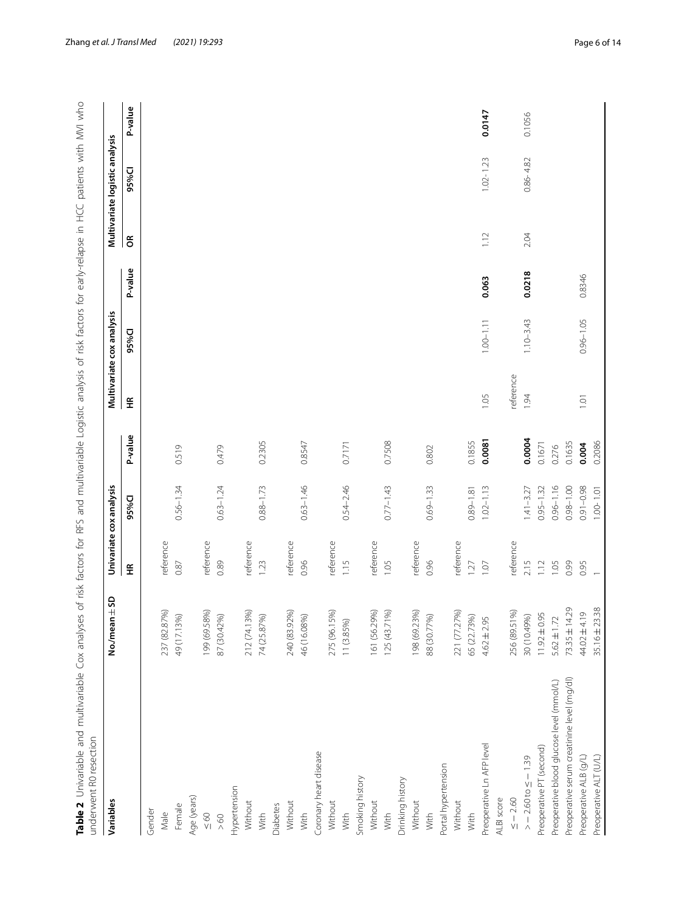<span id="page-5-0"></span>

| P-value<br>0.0218<br>0.8346<br>0.063<br>$1.10 - 3.43$<br>$0.96 - 1.05$<br>$1.00 - 1.11$<br>95%Cl<br>reference<br>1.05<br>1.94<br>1.01<br>£<br>P-value<br>0.0004<br>0.0081<br>0.1855<br>0.2305<br>0.7508<br>0.1635<br>0.8547<br>0.7171<br>0.1671<br>0.004<br>0.276<br>0.519<br>0.479<br>0.802<br>$0.56 - 1.34$<br>$0.63 - 1.24$<br>$0.63 - 1.46$<br>$0.54 - 2.46$<br>$0.88 - 1.73$<br>$0.77 - 1.43$<br>$0.69 - 1.33$<br>$0.96 - 1.16$<br>$0.98 - 1.00$<br>$0.91 - 0.98$<br>$1.02 - 1.13$<br>$0.95 - 1.32$<br>$1.41 - 3.27$<br>$0.89 - 1.81$<br>95%CI<br>reference<br>reference<br>reference<br>reference<br>reference<br>reference<br>reference<br>reference<br>reference<br>2.15<br>1.12<br>0.99<br>0.89<br>0.96<br>1.15<br>1.05<br>0.96<br>1.07<br>1.05<br>0.95<br>0.87<br>1.23<br>1.27<br>£<br>73.35 ± 14.29<br>161 (56.29%)<br>199 (69.58%)<br>212 (74.13%)<br>240 (83.92%)<br>275 (96.15%)<br>125 (43.71%)<br>198 (69.23%)<br>221 (77.27%)<br>256 (89.51%)<br>237 (82.87%)<br>49 (17.13%)<br>46 (16.08%)<br>30 (10.49%)<br>$11.92 \pm 0.95$<br>44.02±4.19<br>65 (22.73%)<br>87 (30.42%)<br>74 (25.87%)<br>$5.62 \pm 1.72$<br>88 (30.77%)<br>$4.62 \pm 2.95$<br>11 (3.85%)<br>Preoperative serum creatinine level (mg/dl)<br>Preoperative blood glucose level (mmol/L)<br>Preoperative Ln AFP level<br>Preoperative PT (second)<br>Coronary heart disease<br>$> -2.60$ to $\le -1.39$<br>Preoperative ALB (g/L)<br>Portal hypertension<br>Smoking history<br>Drinking history<br>Hypertension<br>Age (years)<br>$\le$ $-$ 2.60<br>ALBI score<br>Without<br>Without<br>Without<br>Without<br>Without<br>Without<br>Female<br>Diabetes<br>Gender<br>Male<br>$\leq 60$<br>With<br>With<br>With<br>With<br>With<br>With<br>$> 60$ | Variables              | No./mean $\pm$ SD |                | Univariate cox analysis |        | Multivariate cox analysis |            | Multivariate logistic analysis |         |
|----------------------------------------------------------------------------------------------------------------------------------------------------------------------------------------------------------------------------------------------------------------------------------------------------------------------------------------------------------------------------------------------------------------------------------------------------------------------------------------------------------------------------------------------------------------------------------------------------------------------------------------------------------------------------------------------------------------------------------------------------------------------------------------------------------------------------------------------------------------------------------------------------------------------------------------------------------------------------------------------------------------------------------------------------------------------------------------------------------------------------------------------------------------------------------------------------------------------------------------------------------------------------------------------------------------------------------------------------------------------------------------------------------------------------------------------------------------------------------------------------------------------------------------------------------------------------------------------------------------------------------------------------------------------------------------------------------------------------------|------------------------|-------------------|----------------|-------------------------|--------|---------------------------|------------|--------------------------------|---------|
|                                                                                                                                                                                                                                                                                                                                                                                                                                                                                                                                                                                                                                                                                                                                                                                                                                                                                                                                                                                                                                                                                                                                                                                                                                                                                                                                                                                                                                                                                                                                                                                                                                                                                                                                  |                        |                   |                |                         |        |                           | $\epsilon$ | 95%Cl                          | P-value |
|                                                                                                                                                                                                                                                                                                                                                                                                                                                                                                                                                                                                                                                                                                                                                                                                                                                                                                                                                                                                                                                                                                                                                                                                                                                                                                                                                                                                                                                                                                                                                                                                                                                                                                                                  |                        |                   |                |                         |        |                           |            |                                |         |
|                                                                                                                                                                                                                                                                                                                                                                                                                                                                                                                                                                                                                                                                                                                                                                                                                                                                                                                                                                                                                                                                                                                                                                                                                                                                                                                                                                                                                                                                                                                                                                                                                                                                                                                                  |                        |                   |                |                         |        |                           |            |                                |         |
|                                                                                                                                                                                                                                                                                                                                                                                                                                                                                                                                                                                                                                                                                                                                                                                                                                                                                                                                                                                                                                                                                                                                                                                                                                                                                                                                                                                                                                                                                                                                                                                                                                                                                                                                  |                        |                   |                |                         |        |                           |            |                                |         |
|                                                                                                                                                                                                                                                                                                                                                                                                                                                                                                                                                                                                                                                                                                                                                                                                                                                                                                                                                                                                                                                                                                                                                                                                                                                                                                                                                                                                                                                                                                                                                                                                                                                                                                                                  |                        |                   |                |                         |        |                           |            |                                |         |
|                                                                                                                                                                                                                                                                                                                                                                                                                                                                                                                                                                                                                                                                                                                                                                                                                                                                                                                                                                                                                                                                                                                                                                                                                                                                                                                                                                                                                                                                                                                                                                                                                                                                                                                                  |                        |                   |                |                         |        |                           |            |                                |         |
|                                                                                                                                                                                                                                                                                                                                                                                                                                                                                                                                                                                                                                                                                                                                                                                                                                                                                                                                                                                                                                                                                                                                                                                                                                                                                                                                                                                                                                                                                                                                                                                                                                                                                                                                  |                        |                   |                |                         |        |                           |            |                                |         |
|                                                                                                                                                                                                                                                                                                                                                                                                                                                                                                                                                                                                                                                                                                                                                                                                                                                                                                                                                                                                                                                                                                                                                                                                                                                                                                                                                                                                                                                                                                                                                                                                                                                                                                                                  |                        |                   |                |                         |        |                           |            |                                |         |
|                                                                                                                                                                                                                                                                                                                                                                                                                                                                                                                                                                                                                                                                                                                                                                                                                                                                                                                                                                                                                                                                                                                                                                                                                                                                                                                                                                                                                                                                                                                                                                                                                                                                                                                                  |                        |                   |                |                         |        |                           |            |                                |         |
|                                                                                                                                                                                                                                                                                                                                                                                                                                                                                                                                                                                                                                                                                                                                                                                                                                                                                                                                                                                                                                                                                                                                                                                                                                                                                                                                                                                                                                                                                                                                                                                                                                                                                                                                  |                        |                   |                |                         |        |                           |            |                                |         |
|                                                                                                                                                                                                                                                                                                                                                                                                                                                                                                                                                                                                                                                                                                                                                                                                                                                                                                                                                                                                                                                                                                                                                                                                                                                                                                                                                                                                                                                                                                                                                                                                                                                                                                                                  |                        |                   |                |                         |        |                           |            |                                |         |
|                                                                                                                                                                                                                                                                                                                                                                                                                                                                                                                                                                                                                                                                                                                                                                                                                                                                                                                                                                                                                                                                                                                                                                                                                                                                                                                                                                                                                                                                                                                                                                                                                                                                                                                                  |                        |                   |                |                         |        |                           |            |                                |         |
|                                                                                                                                                                                                                                                                                                                                                                                                                                                                                                                                                                                                                                                                                                                                                                                                                                                                                                                                                                                                                                                                                                                                                                                                                                                                                                                                                                                                                                                                                                                                                                                                                                                                                                                                  |                        |                   |                |                         |        |                           |            |                                |         |
|                                                                                                                                                                                                                                                                                                                                                                                                                                                                                                                                                                                                                                                                                                                                                                                                                                                                                                                                                                                                                                                                                                                                                                                                                                                                                                                                                                                                                                                                                                                                                                                                                                                                                                                                  |                        |                   |                |                         |        |                           |            |                                |         |
|                                                                                                                                                                                                                                                                                                                                                                                                                                                                                                                                                                                                                                                                                                                                                                                                                                                                                                                                                                                                                                                                                                                                                                                                                                                                                                                                                                                                                                                                                                                                                                                                                                                                                                                                  |                        |                   |                |                         |        |                           |            |                                |         |
|                                                                                                                                                                                                                                                                                                                                                                                                                                                                                                                                                                                                                                                                                                                                                                                                                                                                                                                                                                                                                                                                                                                                                                                                                                                                                                                                                                                                                                                                                                                                                                                                                                                                                                                                  |                        |                   |                |                         |        |                           |            |                                |         |
|                                                                                                                                                                                                                                                                                                                                                                                                                                                                                                                                                                                                                                                                                                                                                                                                                                                                                                                                                                                                                                                                                                                                                                                                                                                                                                                                                                                                                                                                                                                                                                                                                                                                                                                                  |                        |                   |                |                         |        |                           |            |                                |         |
|                                                                                                                                                                                                                                                                                                                                                                                                                                                                                                                                                                                                                                                                                                                                                                                                                                                                                                                                                                                                                                                                                                                                                                                                                                                                                                                                                                                                                                                                                                                                                                                                                                                                                                                                  |                        |                   |                |                         |        |                           |            |                                |         |
|                                                                                                                                                                                                                                                                                                                                                                                                                                                                                                                                                                                                                                                                                                                                                                                                                                                                                                                                                                                                                                                                                                                                                                                                                                                                                                                                                                                                                                                                                                                                                                                                                                                                                                                                  |                        |                   |                |                         |        |                           |            |                                |         |
|                                                                                                                                                                                                                                                                                                                                                                                                                                                                                                                                                                                                                                                                                                                                                                                                                                                                                                                                                                                                                                                                                                                                                                                                                                                                                                                                                                                                                                                                                                                                                                                                                                                                                                                                  |                        |                   |                |                         |        |                           |            |                                |         |
|                                                                                                                                                                                                                                                                                                                                                                                                                                                                                                                                                                                                                                                                                                                                                                                                                                                                                                                                                                                                                                                                                                                                                                                                                                                                                                                                                                                                                                                                                                                                                                                                                                                                                                                                  |                        |                   |                |                         |        |                           |            |                                |         |
|                                                                                                                                                                                                                                                                                                                                                                                                                                                                                                                                                                                                                                                                                                                                                                                                                                                                                                                                                                                                                                                                                                                                                                                                                                                                                                                                                                                                                                                                                                                                                                                                                                                                                                                                  |                        |                   |                |                         |        |                           |            |                                |         |
|                                                                                                                                                                                                                                                                                                                                                                                                                                                                                                                                                                                                                                                                                                                                                                                                                                                                                                                                                                                                                                                                                                                                                                                                                                                                                                                                                                                                                                                                                                                                                                                                                                                                                                                                  |                        |                   |                |                         |        |                           |            |                                |         |
|                                                                                                                                                                                                                                                                                                                                                                                                                                                                                                                                                                                                                                                                                                                                                                                                                                                                                                                                                                                                                                                                                                                                                                                                                                                                                                                                                                                                                                                                                                                                                                                                                                                                                                                                  |                        |                   |                |                         |        |                           |            |                                |         |
|                                                                                                                                                                                                                                                                                                                                                                                                                                                                                                                                                                                                                                                                                                                                                                                                                                                                                                                                                                                                                                                                                                                                                                                                                                                                                                                                                                                                                                                                                                                                                                                                                                                                                                                                  |                        |                   |                |                         |        |                           |            |                                |         |
|                                                                                                                                                                                                                                                                                                                                                                                                                                                                                                                                                                                                                                                                                                                                                                                                                                                                                                                                                                                                                                                                                                                                                                                                                                                                                                                                                                                                                                                                                                                                                                                                                                                                                                                                  |                        |                   |                |                         |        |                           | 1.12       | $1.02 - 1.23$                  | 0.0147  |
|                                                                                                                                                                                                                                                                                                                                                                                                                                                                                                                                                                                                                                                                                                                                                                                                                                                                                                                                                                                                                                                                                                                                                                                                                                                                                                                                                                                                                                                                                                                                                                                                                                                                                                                                  |                        |                   |                |                         |        |                           |            |                                |         |
|                                                                                                                                                                                                                                                                                                                                                                                                                                                                                                                                                                                                                                                                                                                                                                                                                                                                                                                                                                                                                                                                                                                                                                                                                                                                                                                                                                                                                                                                                                                                                                                                                                                                                                                                  |                        |                   |                |                         |        |                           |            |                                |         |
|                                                                                                                                                                                                                                                                                                                                                                                                                                                                                                                                                                                                                                                                                                                                                                                                                                                                                                                                                                                                                                                                                                                                                                                                                                                                                                                                                                                                                                                                                                                                                                                                                                                                                                                                  |                        |                   |                |                         |        |                           | 2.04       | $0.86 - 4.82$                  | 0.1056  |
|                                                                                                                                                                                                                                                                                                                                                                                                                                                                                                                                                                                                                                                                                                                                                                                                                                                                                                                                                                                                                                                                                                                                                                                                                                                                                                                                                                                                                                                                                                                                                                                                                                                                                                                                  |                        |                   |                |                         |        |                           |            |                                |         |
|                                                                                                                                                                                                                                                                                                                                                                                                                                                                                                                                                                                                                                                                                                                                                                                                                                                                                                                                                                                                                                                                                                                                                                                                                                                                                                                                                                                                                                                                                                                                                                                                                                                                                                                                  |                        |                   |                |                         |        |                           |            |                                |         |
|                                                                                                                                                                                                                                                                                                                                                                                                                                                                                                                                                                                                                                                                                                                                                                                                                                                                                                                                                                                                                                                                                                                                                                                                                                                                                                                                                                                                                                                                                                                                                                                                                                                                                                                                  |                        |                   |                |                         |        |                           |            |                                |         |
|                                                                                                                                                                                                                                                                                                                                                                                                                                                                                                                                                                                                                                                                                                                                                                                                                                                                                                                                                                                                                                                                                                                                                                                                                                                                                                                                                                                                                                                                                                                                                                                                                                                                                                                                  |                        |                   |                |                         |        |                           |            |                                |         |
|                                                                                                                                                                                                                                                                                                                                                                                                                                                                                                                                                                                                                                                                                                                                                                                                                                                                                                                                                                                                                                                                                                                                                                                                                                                                                                                                                                                                                                                                                                                                                                                                                                                                                                                                  | Preoperative ALT (U/L) | 35.16 ± 23.38     | $\overline{ }$ | $1.00 - 1.01$           | 0.2086 |                           |            |                                |         |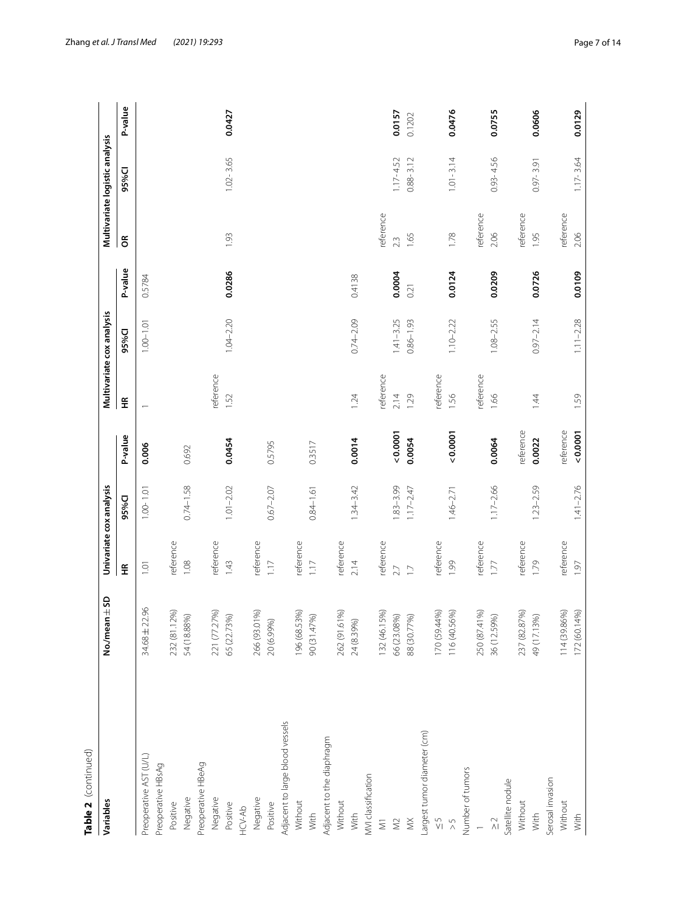| Table 2 (continued)                        |                             |                          |               |           |                          |                           |         |            |                                |         |
|--------------------------------------------|-----------------------------|--------------------------|---------------|-----------|--------------------------|---------------------------|---------|------------|--------------------------------|---------|
| Variables                                  | 45D<br>No./mean             | Univariate cox analysis  |               |           |                          | Multivariate cox analysis |         |            | Multivariate logistic analysis |         |
|                                            |                             | $\widetilde{\mathbf{H}}$ | 95%CI         | P-value   | $\widetilde{\mathbf{H}}$ | 95%Cl                     | P-value | $\epsilon$ | 95%Cl                          | P-value |
| Preoperative AST (U/L)                     | $\frac{8}{3}$<br>34.68 ± 22 | $\overline{1}$ .01       | $1.00 - 1.01$ | 0.006     |                          | $1.00 - 1.01$             | 0.5784  |            |                                |         |
| Preoperative HBsAg                         |                             |                          |               |           |                          |                           |         |            |                                |         |
| Positive                                   | 232 (81.12%)                | reference                |               |           |                          |                           |         |            |                                |         |
| Negative                                   | 54 (18.88%)                 | 1.08                     | $0.74 - 1.58$ | 0.692     |                          |                           |         |            |                                |         |
| Preoperative HBeAg                         |                             |                          |               |           |                          |                           |         |            |                                |         |
| Negative                                   | 221 (77.27%)                | reference                |               |           | reference                |                           |         |            |                                |         |
| Positive                                   | 65 (22.73%)                 | 1.43                     | $1.01 - 2.02$ | 0.0454    | 1.52                     | $1.04 - 2.20$             | 0.0286  | 1.93       | $1.02 - 3.65$                  | 0.0427  |
| HCV-Ab                                     |                             |                          |               |           |                          |                           |         |            |                                |         |
| Negative                                   | 266 (93.01%)                | reference                |               |           |                          |                           |         |            |                                |         |
| Positive                                   | 20 (6.99%)                  | 1.17                     | $0.67 - 2.07$ | 0.5795    |                          |                           |         |            |                                |         |
| Adjacent to large blood vessels            |                             |                          |               |           |                          |                           |         |            |                                |         |
| Without                                    | 196 (68.53%)                | reference                |               |           |                          |                           |         |            |                                |         |
| With                                       | 90 (31.47%)                 | 1.17                     | $0.84 - 1.61$ | 0.3517    |                          |                           |         |            |                                |         |
| Adjacent to the diaphragm                  |                             |                          |               |           |                          |                           |         |            |                                |         |
| Without                                    | 262 (91.61%)                | reference                |               |           |                          |                           |         |            |                                |         |
| With                                       | 24 (8.39%)                  | 2.14                     | $1.34 - 3.42$ | 0.0014    | 1.24                     | $0.74 - 2.09$             | 0.4138  |            |                                |         |
| MVI classification                         |                             |                          |               |           |                          |                           |         |            |                                |         |
| $\overline{\geq}$                          | 32 (46.15%)                 | reference                |               |           | reference                |                           |         | reference  |                                |         |
| $\gtrapprox$                               | 66 (23.08%)                 | 2.7                      | $.83 - 3.99$  | 0.0001    | 2.14                     | $1.41 - 3.25$             | 0.0004  | 2.3        | $1.17 - 4.52$                  | 0.0157  |
| $\lessapprox$                              | 88 (30.77%)                 | $\overline{1}$           | $1.17 - 2.47$ | 0.0054    | 1.29                     | $0.86 - 1.93$             | 0.21    | 1.65       | $0.88 - 3.12$                  | 0.1202  |
| Largest tumor diameter (cm)                |                             |                          |               |           |                          |                           |         |            |                                |         |
| $\frac{5}{1}$                              | 170 (59.44%)                | reference                |               |           | reference                |                           |         |            |                                |         |
| $\frac{5}{2}$                              | 116 (40.56%)                | 1.99                     | $1.46 - 2.71$ | 0.0001    | 1.56                     | $1.10 - 2.22$             | 0.0124  | 1.78       | $1.01 - 3.14$                  | 0.0476  |
| Number of tumors                           |                             |                          |               |           |                          |                           |         |            |                                |         |
|                                            | 250 (87.41%)                | reference                |               |           | reference                |                           |         | reference  |                                |         |
| $\stackrel{\textstyle{C}}{\textstyle\sim}$ | 36 (12.59%)                 | 1.77                     | $1.17 - 2.66$ | 0.0064    | 1.66                     | $1.08 - 2.55$             | 0.0209  | 2.06       | $0.93 - 4.56$                  | 0.0755  |
| Satellite nodule                           |                             |                          |               |           |                          |                           |         |            |                                |         |
| Without                                    | 237 (82.87%)                | reference                |               | reference |                          |                           |         | reference  |                                |         |
| With                                       | 49 (17.13%)                 | 1.79                     | $1.23 - 2.59$ | 0.0022    | 1.44                     | $0.97 - 2.14$             | 0.0726  | 1.95       | $0.97 - 3.91$                  | 0.0606  |
| Serosal invasion                           |                             |                          |               |           |                          |                           |         |            |                                |         |
| Without                                    | 14 (39.86%)                 | reference                |               | reference |                          |                           |         | reference  |                                |         |
| With                                       | (72 (60.14%)                | 1.97                     | $1.41 - 2.76$ | 0.0001    | 1.59                     | $1.11 - 2.28$             | 0.0109  | 2.06       | $1.17 - 3.64$                  | 0.0129  |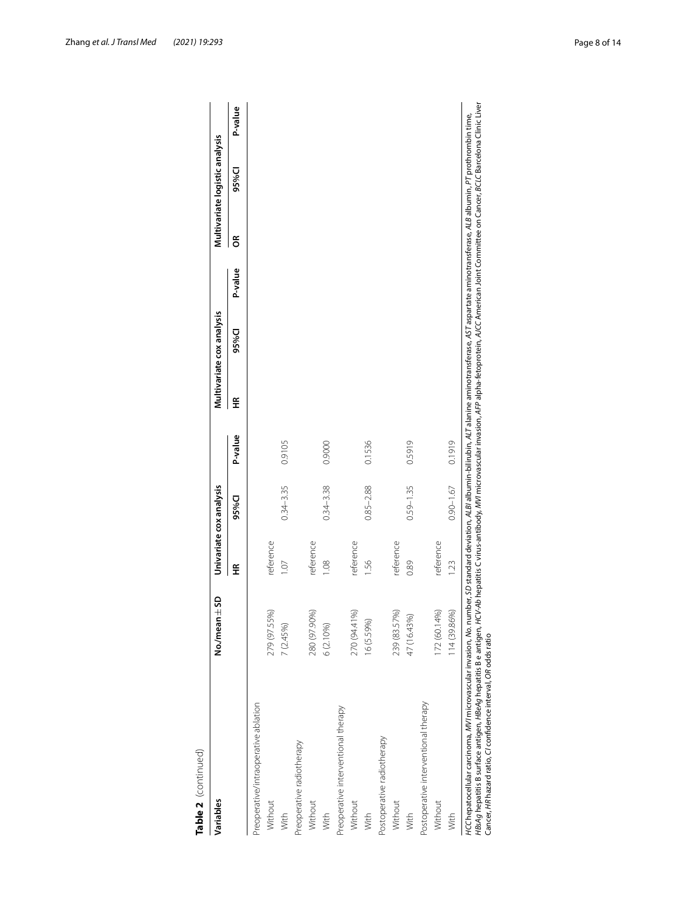| Variables                            | $-50$<br>No./mear |                | Univariate cox analysis |         |   | Multivariate cox analysis |         |   | Multivariate logistic analysis |         |
|--------------------------------------|-------------------|----------------|-------------------------|---------|---|---------------------------|---------|---|--------------------------------|---------|
|                                      |                   | €              | 95%CI                   | P-value | £ | 95%Cl                     | P-value | g | 95%Cl                          | P-value |
| Preoperative/intraoperative ablation |                   |                |                         |         |   |                           |         |   |                                |         |
| Without                              | 8<br>279 (97.55   | reference      |                         |         |   |                           |         |   |                                |         |
| With                                 | 7 (2.45%)         | $\overline{0}$ | $0.34 - 3.35$           | 0.9105  |   |                           |         |   |                                |         |
| Preoperative radiotherapy            |                   |                |                         |         |   |                           |         |   |                                |         |
| Without                              | 280 (97.90%)      | reference      |                         |         |   |                           |         |   |                                |         |
| With                                 | 6 (2.10%)         | 0.08           | $0.34 - 3.38$           | 0.9000  |   |                           |         |   |                                |         |
| Preoperative interventional therapy  |                   |                |                         |         |   |                           |         |   |                                |         |
| Without                              | 270 (94.41%)      | reference      |                         |         |   |                           |         |   |                                |         |
| With                                 | 16 (5.59%)        | 95 l           | $0.85 - 2.88$           | 0.1536  |   |                           |         |   |                                |         |
| Postoperative radiotherapy           |                   |                |                         |         |   |                           |         |   |                                |         |
| Without                              | 239 (83.57%)      | reference      |                         |         |   |                           |         |   |                                |         |
| With                                 | 47 (16.43%)       | 0.89           | $0.59 - 1.35$           | 0.5919  |   |                           |         |   |                                |         |
| Postoperative interventional therapy |                   |                |                         |         |   |                           |         |   |                                |         |
| Without                              | 172 (60.14%)      | reference      |                         |         |   |                           |         |   |                                |         |
| With                                 | 114 (39.86%)      | 1.23           | $0.90 - 1.67$           | 0.1919  |   |                           |         |   |                                |         |

| $\frac{1}{\zeta}$ |  |
|-------------------|--|
|                   |  |
|                   |  |
|                   |  |
|                   |  |
|                   |  |
|                   |  |
|                   |  |
|                   |  |
| r                 |  |
|                   |  |
|                   |  |
| d                 |  |
|                   |  |
|                   |  |
|                   |  |
|                   |  |
|                   |  |
|                   |  |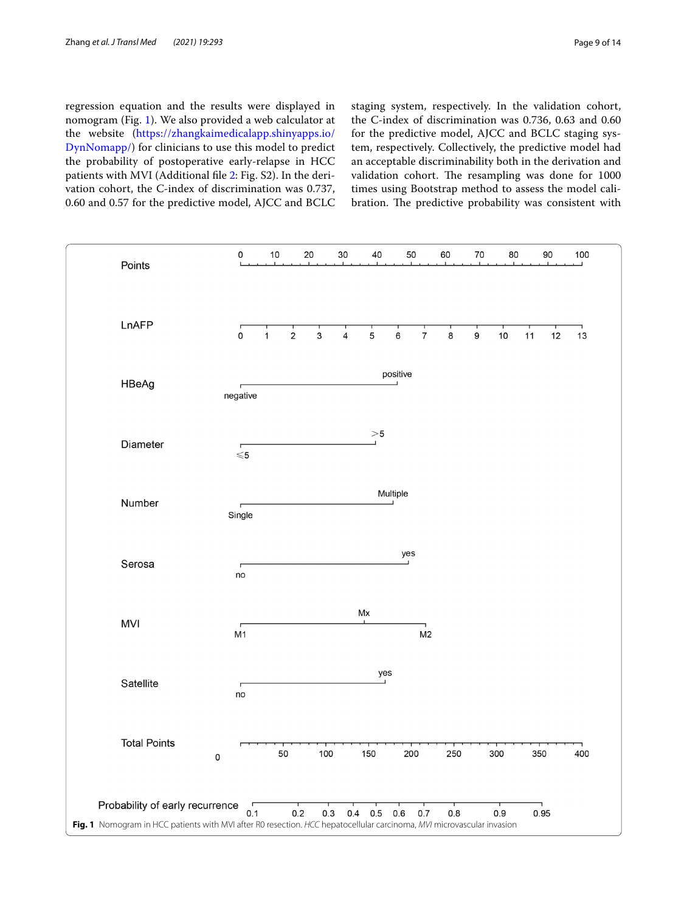regression equation and the results were displayed in nomogram (Fig. [1\)](#page-8-0). We also provided a web calculator at the website ([https://zhangkaimedicalapp.shinyapps.io/](https://zhangkaimedicalapp.shinyapps.io/DynNomapp/) [DynNomapp/](https://zhangkaimedicalapp.shinyapps.io/DynNomapp/)) for clinicians to use this model to predict the probability of postoperative early-relapse in HCC patients with MVI (Additional fle [2](#page-12-22): Fig. S2). In the derivation cohort, the C-index of discrimination was 0.737, 0.60 and 0.57 for the predictive model, AJCC and BCLC staging system, respectively. In the validation cohort, the C-index of discrimination was 0.736, 0.63 and 0.60 for the predictive model, AJCC and BCLC staging system, respectively. Collectively, the predictive model had an acceptable discriminability both in the derivation and validation cohort. The resampling was done for 1000 times using Bootstrap method to assess the model calibration. The predictive probability was consistent with

<span id="page-8-0"></span>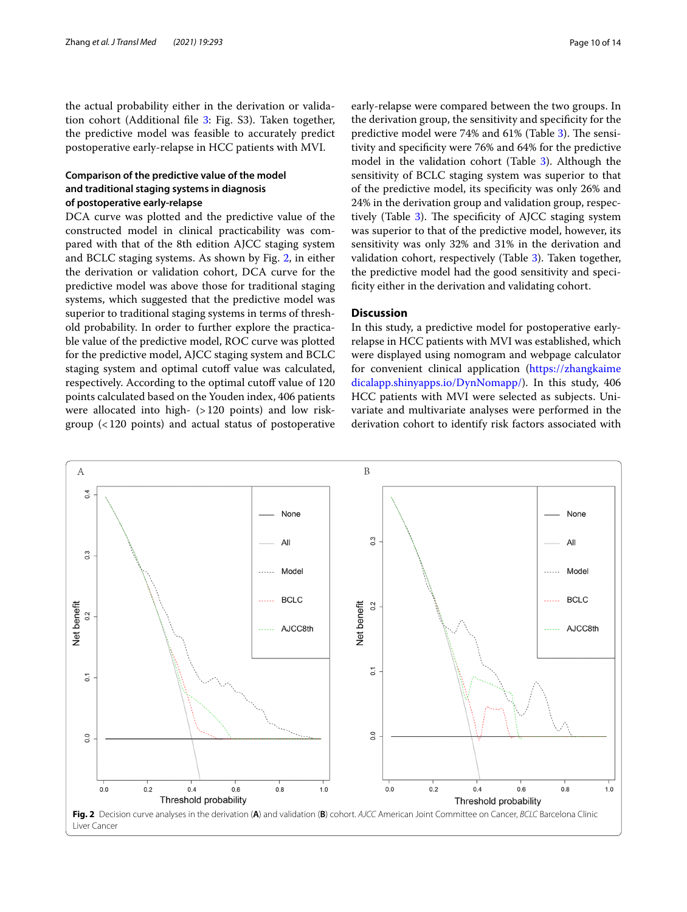the actual probability either in the derivation or validation cohort (Additional fle [3:](#page-12-23) Fig. S3). Taken together, the predictive model was feasible to accurately predict postoperative early-relapse in HCC patients with MVI.

## **Comparison of the predictive value of the model and traditional staging systems in diagnosis of postoperative early‑relapse**

DCA curve was plotted and the predictive value of the constructed model in clinical practicability was compared with that of the 8th edition AJCC staging system and BCLC staging systems. As shown by Fig. [2,](#page-9-0) in either the derivation or validation cohort, DCA curve for the predictive model was above those for traditional staging systems, which suggested that the predictive model was superior to traditional staging systems in terms of threshold probability. In order to further explore the practicable value of the predictive model, ROC curve was plotted for the predictive model, AJCC staging system and BCLC staging system and optimal cutoff value was calculated, respectively. According to the optimal cutoff value of 120 points calculated based on the Youden index, 406 patients were allocated into high- (>120 points) and low riskgroup (<120 points) and actual status of postoperative

early-relapse were compared between the two groups. In the derivation group, the sensitivity and specifcity for the predictive model were 74% and 61% (Table [3\)](#page-10-0). The sensitivity and specifcity were 76% and 64% for the predictive model in the validation cohort (Table [3](#page-10-0)). Although the sensitivity of BCLC staging system was superior to that of the predictive model, its specifcity was only 26% and 24% in the derivation group and validation group, respec-tively (Table [3\)](#page-10-0). The specificity of AJCC staging system was superior to that of the predictive model, however, its sensitivity was only 32% and 31% in the derivation and validation cohort, respectively (Table [3](#page-10-0)). Taken together, the predictive model had the good sensitivity and specificity either in the derivation and validating cohort.

## **Discussion**

In this study, a predictive model for postoperative earlyrelapse in HCC patients with MVI was established, which were displayed using nomogram and webpage calculator for convenient clinical application [\(https://zhangkaime](https://zhangkaimedicalapp.shinyapps.io/DynNomapp/) [dicalapp.shinyapps.io/DynNomapp/\)](https://zhangkaimedicalapp.shinyapps.io/DynNomapp/). In this study, 406 HCC patients with MVI were selected as subjects. Univariate and multivariate analyses were performed in the derivation cohort to identify risk factors associated with

<span id="page-9-0"></span>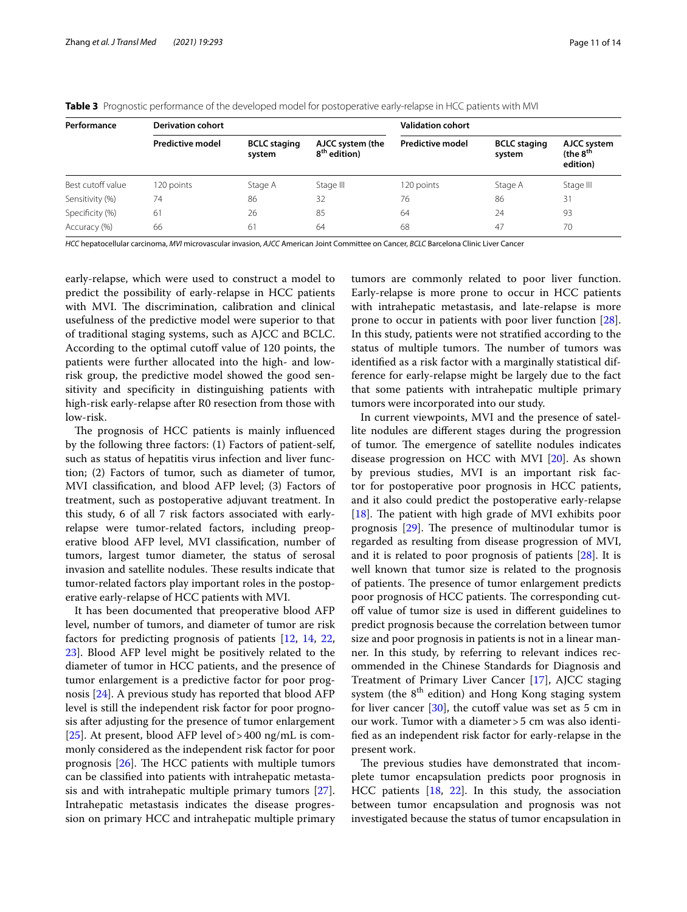| Performance       | <b>Derivation cohort</b> |                               |                                              | <b>Validation cohort</b> |                               |                                                 |
|-------------------|--------------------------|-------------------------------|----------------------------------------------|--------------------------|-------------------------------|-------------------------------------------------|
|                   | <b>Predictive model</b>  | <b>BCLC</b> staging<br>system | AJCC system (the<br>8 <sup>th</sup> edition) | <b>Predictive model</b>  | <b>BCLC</b> staging<br>system | AJCC system<br>(the 8 <sup>th</sup><br>edition) |
| Best cutoff value | 120 points               | Stage A                       | Stage III                                    | 120 points               | Stage A                       | Stage III                                       |
| Sensitivity (%)   | 74                       | 86                            | 32                                           | 76                       | 86                            | 31                                              |
| Specificity (%)   | 61                       | 26                            | 85                                           | 64                       | 24                            | 93                                              |
| Accuracy (%)      | 66                       | 61                            | 64                                           | 68                       | 47                            | 70                                              |

<span id="page-10-0"></span>**Table 3** Prognostic performance of the developed model for postoperative early-relapse in HCC patients with MVI

*HCC* hepatocellular carcinoma, *MVI* microvascular invasion, *AJCC* American Joint Committee on Cancer, *BCLC* Barcelona Clinic Liver Cancer

early-relapse, which were used to construct a model to predict the possibility of early-relapse in HCC patients with MVI. The discrimination, calibration and clinical usefulness of the predictive model were superior to that of traditional staging systems, such as AJCC and BCLC. According to the optimal cutoff value of 120 points, the patients were further allocated into the high- and lowrisk group, the predictive model showed the good sensitivity and specifcity in distinguishing patients with high-risk early-relapse after R0 resection from those with low-risk.

The prognosis of HCC patients is mainly influenced by the following three factors: (1) Factors of patient-self, such as status of hepatitis virus infection and liver function; (2) Factors of tumor, such as diameter of tumor, MVI classifcation, and blood AFP level; (3) Factors of treatment, such as postoperative adjuvant treatment. In this study, 6 of all 7 risk factors associated with earlyrelapse were tumor-related factors, including preoperative blood AFP level, MVI classifcation, number of tumors, largest tumor diameter, the status of serosal invasion and satellite nodules. These results indicate that tumor-related factors play important roles in the postoperative early-relapse of HCC patients with MVI.

It has been documented that preoperative blood AFP level, number of tumors, and diameter of tumor are risk factors for predicting prognosis of patients [\[12](#page-12-11), [14](#page-12-12), [22](#page-12-21), [23\]](#page-12-24). Blood AFP level might be positively related to the diameter of tumor in HCC patients, and the presence of tumor enlargement is a predictive factor for poor prognosis [\[24](#page-12-25)]. A previous study has reported that blood AFP level is still the independent risk factor for poor prognosis after adjusting for the presence of tumor enlargement [[25\]](#page-12-26). At present, blood AFP level of>400 ng/mL is commonly considered as the independent risk factor for poor prognosis  $[26]$  $[26]$ . The HCC patients with multiple tumors can be classifed into patients with intrahepatic metastasis and with intrahepatic multiple primary tumors [\[27](#page-13-1)]. Intrahepatic metastasis indicates the disease progression on primary HCC and intrahepatic multiple primary tumors are commonly related to poor liver function. Early-relapse is more prone to occur in HCC patients with intrahepatic metastasis, and late-relapse is more prone to occur in patients with poor liver function [\[28](#page-13-2)]. In this study, patients were not stratifed according to the status of multiple tumors. The number of tumors was identifed as a risk factor with a marginally statistical difference for early-relapse might be largely due to the fact that some patients with intrahepatic multiple primary tumors were incorporated into our study.

In current viewpoints, MVI and the presence of satellite nodules are diferent stages during the progression of tumor. The emergence of satellite nodules indicates disease progression on HCC with MVI [[20\]](#page-12-18). As shown by previous studies, MVI is an important risk factor for postoperative poor prognosis in HCC patients, and it also could predict the postoperative early-relapse [ $18$ ]. The patient with high grade of MVI exhibits poor prognosis  $[29]$ . The presence of multinodular tumor is regarded as resulting from disease progression of MVI, and it is related to poor prognosis of patients [[28](#page-13-2)]. It is well known that tumor size is related to the prognosis of patients. The presence of tumor enlargement predicts poor prognosis of HCC patients. The corresponding cutof value of tumor size is used in diferent guidelines to predict prognosis because the correlation between tumor size and poor prognosis in patients is not in a linear manner. In this study, by referring to relevant indices recommended in the Chinese Standards for Diagnosis and Treatment of Primary Liver Cancer [[17](#page-12-15)], AJCC staging system (the  $8<sup>th</sup>$  edition) and Hong Kong staging system for liver cancer  $[30]$  $[30]$ , the cutoff value was set as 5 cm in our work. Tumor with a diameter>5 cm was also identifed as an independent risk factor for early-relapse in the present work.

The previous studies have demonstrated that incomplete tumor encapsulation predicts poor prognosis in HCC patients [\[18](#page-12-16), [22\]](#page-12-21). In this study, the association between tumor encapsulation and prognosis was not investigated because the status of tumor encapsulation in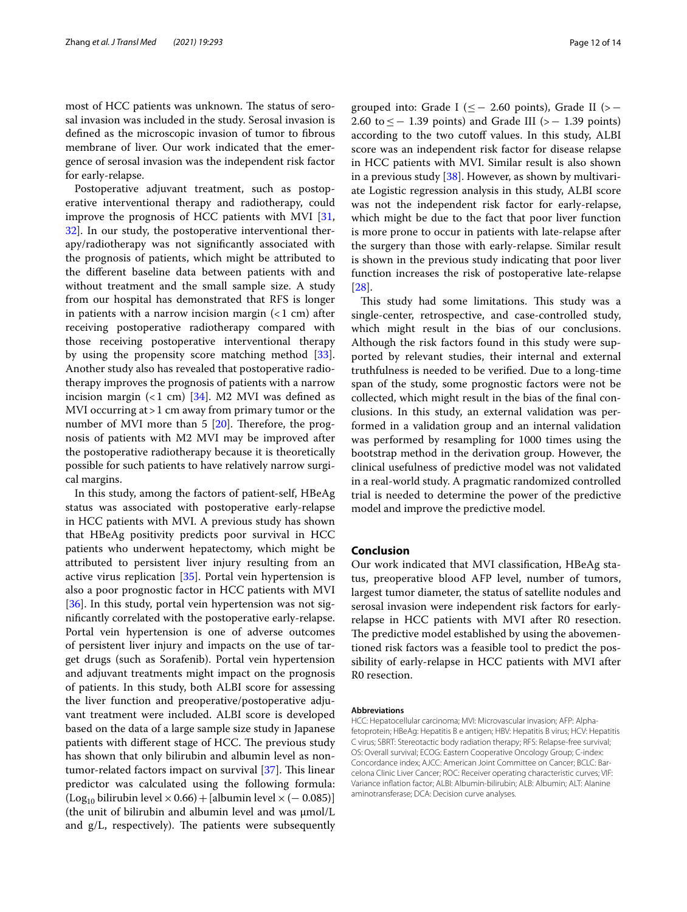most of HCC patients was unknown. The status of serosal invasion was included in the study. Serosal invasion is defned as the microscopic invasion of tumor to fbrous membrane of liver. Our work indicated that the emergence of serosal invasion was the independent risk factor for early-relapse.

Postoperative adjuvant treatment, such as postoperative interventional therapy and radiotherapy, could improve the prognosis of HCC patients with MVI [\[31](#page-13-5), [32\]](#page-13-6). In our study, the postoperative interventional therapy/radiotherapy was not signifcantly associated with the prognosis of patients, which might be attributed to the diferent baseline data between patients with and without treatment and the small sample size. A study from our hospital has demonstrated that RFS is longer in patients with a narrow incision margin  $(<1$  cm) after receiving postoperative radiotherapy compared with those receiving postoperative interventional therapy by using the propensity score matching method [\[33](#page-13-7)]. Another study also has revealed that postoperative radiotherapy improves the prognosis of patients with a narrow incision margin  $(1 \text{ cm})$  [[34\]](#page-13-8). M2 MVI was defined as MVI occurring at > 1 cm away from primary tumor or the number of MVI more than  $5 \, [20]$  $5 \, [20]$ . Therefore, the prognosis of patients with M2 MVI may be improved after the postoperative radiotherapy because it is theoretically possible for such patients to have relatively narrow surgical margins.

In this study, among the factors of patient-self, HBeAg status was associated with postoperative early-relapse in HCC patients with MVI. A previous study has shown that HBeAg positivity predicts poor survival in HCC patients who underwent hepatectomy, which might be attributed to persistent liver injury resulting from an active virus replication [[35\]](#page-13-9). Portal vein hypertension is also a poor prognostic factor in HCC patients with MVI [[36\]](#page-13-10). In this study, portal vein hypertension was not signifcantly correlated with the postoperative early-relapse. Portal vein hypertension is one of adverse outcomes of persistent liver injury and impacts on the use of target drugs (such as Sorafenib). Portal vein hypertension and adjuvant treatments might impact on the prognosis of patients. In this study, both ALBI score for assessing the liver function and preoperative/postoperative adjuvant treatment were included. ALBI score is developed based on the data of a large sample size study in Japanese patients with different stage of HCC. The previous study has shown that only bilirubin and albumin level as nontumor-related factors impact on survival  $[37]$  $[37]$ . This linear predictor was calculated using the following formula: (Log<sub>10</sub> bilirubin level × 0.66) + [albumin level × (− 0.085)] (the unit of bilirubin and albumin level and was μmol/L and  $g/L$ , respectively). The patients were subsequently

grouped into: Grade I ( $\leq$  - 2.60 points), Grade II (> -2.60 to  $\le$  − 1.39 points) and Grade III (> − 1.39 points) according to the two cutoff values. In this study, ALBI score was an independent risk factor for disease relapse in HCC patients with MVI. Similar result is also shown in a previous study [\[38\]](#page-13-12). However, as shown by multivariate Logistic regression analysis in this study, ALBI score was not the independent risk factor for early-relapse, which might be due to the fact that poor liver function is more prone to occur in patients with late-relapse after the surgery than those with early-relapse. Similar result is shown in the previous study indicating that poor liver function increases the risk of postoperative late-relapse [[28\]](#page-13-2).

This study had some limitations. This study was a single-center, retrospective, and case-controlled study, which might result in the bias of our conclusions. Although the risk factors found in this study were supported by relevant studies, their internal and external truthfulness is needed to be verifed. Due to a long-time span of the study, some prognostic factors were not be collected, which might result in the bias of the fnal conclusions. In this study, an external validation was performed in a validation group and an internal validation was performed by resampling for 1000 times using the bootstrap method in the derivation group. However, the clinical usefulness of predictive model was not validated in a real-world study. A pragmatic randomized controlled trial is needed to determine the power of the predictive model and improve the predictive model.

#### **Conclusion**

Our work indicated that MVI classifcation, HBeAg status, preoperative blood AFP level, number of tumors, largest tumor diameter, the status of satellite nodules and serosal invasion were independent risk factors for earlyrelapse in HCC patients with MVI after R0 resection. The predictive model established by using the abovementioned risk factors was a feasible tool to predict the possibility of early-relapse in HCC patients with MVI after R0 resection.

#### **Abbreviations**

HCC: Hepatocellular carcinoma; MVI: Microvascular invasion; AFP: Alphafetoprotein; HBeAg: Hepatitis B e antigen; HBV: Hepatitis B virus; HCV: Hepatitis C virus; SBRT: Stereotactic body radiation therapy; RFS: Relapse-free survival; OS: Overall survival; ECOG: Eastern Cooperative Oncology Group; C-index: Concordance index; AJCC: American Joint Committee on Cancer; BCLC: Barcelona Clinic Liver Cancer; ROC: Receiver operating characteristic curves; VIF: Variance infation factor; ALBI: Albumin-bilirubin; ALB: Albumin; ALT: Alanine aminotransferase; DCA: Decision curve analyses.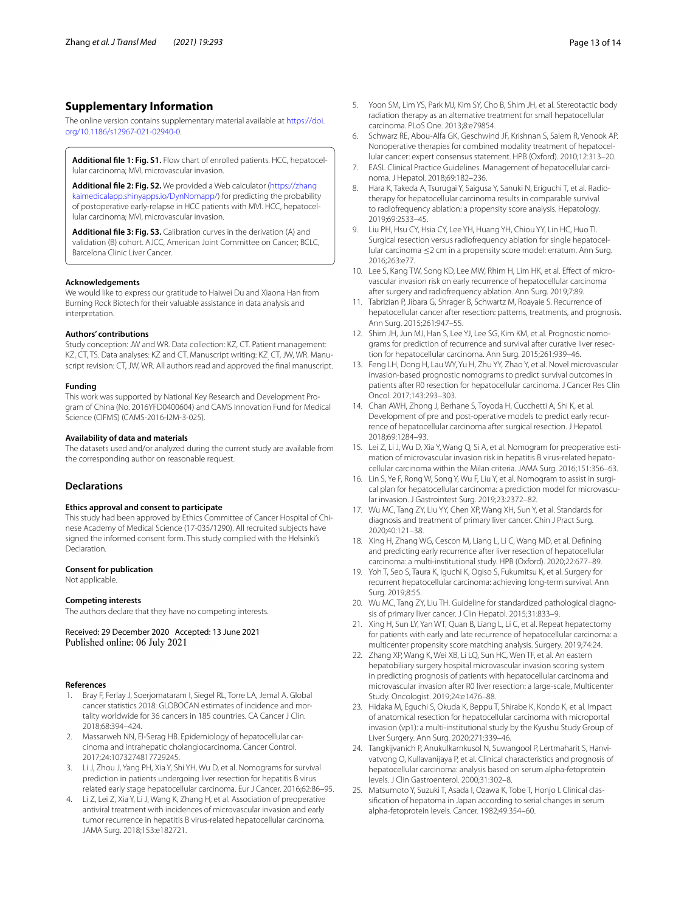## **Supplementary Information**

The online version contains supplementary material available at [https://doi.](https://doi.org/10.1186/s12967-021-02940-0) [org/10.1186/s12967-021-02940-0](https://doi.org/10.1186/s12967-021-02940-0).

<span id="page-12-22"></span><span id="page-12-19"></span>**Additional fle 1: Fig. S1.** Flow chart of enrolled patients. HCC, hepatocellular carcinoma; MVI, microvascular invasion.

**Additional fle 2: Fig. S2.** We provided a Web calculator [\(https://zhang](https://zhangkaimedicalapp.shinyapps.io/DynNomapp/) [kaimedicalapp.shinyapps.io/DynNomapp/\)](https://zhangkaimedicalapp.shinyapps.io/DynNomapp/) for predicting the probability of postoperative early-relapse in HCC patients with MVI. HCC, hepatocellular carcinoma; MVI, microvascular invasion.

<span id="page-12-23"></span>**Additional fle 3: Fig. S3.** Calibration curves in the derivation (A) and validation (B) cohort. AJCC, American Joint Committee on Cancer; BCLC, Barcelona Clinic Liver Cancer.

#### **Acknowledgements**

We would like to express our gratitude to Haiwei Du and Xiaona Han from Burning Rock Biotech for their valuable assistance in data analysis and interpretation.

#### **Authors' contributions**

Study conception: JW and WR. Data collection: KZ, CT. Patient management: KZ, CT, TS. Data analyses: KZ and CT. Manuscript writing: KZ<sub>,</sub> CT, JW, WR. Manuscript revision: CT, JW, WR. All authors read and approved the fnal manuscript.

#### **Funding**

This work was supported by National Key Research and Development Program of China (No. 2016YFD0400604) and CAMS Innovation Fund for Medical Science (CIFMS) (CAMS-2016-I2M-3-025).

#### **Availability of data and materials**

The datasets used and/or analyzed during the current study are available from the corresponding author on reasonable request.

#### **Declarations**

#### **Ethics approval and consent to participate**

This study had been approved by Ethics Committee of Cancer Hospital of Chinese Academy of Medical Science (17-035/1290). All recruited subjects have signed the informed consent form. This study complied with the Helsinki's Declaration.

#### **Consent for publication**

Not applicable.

#### **Competing interests**

The authors declare that they have no competing interests.

Received: 29 December 2020 Accepted: 13 June 2021

#### **References**

- <span id="page-12-0"></span>1. Bray F, Ferlay J, Soerjomataram I, Siegel RL, Torre LA, Jemal A. Global cancer statistics 2018: GLOBOCAN estimates of incidence and mortality worldwide for 36 cancers in 185 countries. CA Cancer J Clin. 2018;68:394–424.
- <span id="page-12-1"></span>2. Massarweh NN, El-Serag HB. Epidemiology of hepatocellular carcinoma and intrahepatic cholangiocarcinoma. Cancer Control. 2017;24:1073274817729245.
- <span id="page-12-2"></span>3. Li J, Zhou J, Yang PH, Xia Y, Shi YH, Wu D, et al. Nomograms for survival prediction in patients undergoing liver resection for hepatitis B virus related early stage hepatocellular carcinoma. Eur J Cancer. 2016;62:86–95.
- <span id="page-12-3"></span>4. Li Z, Lei Z, Xia Y, Li J, Wang K, Zhang H, et al. Association of preoperative antiviral treatment with incidences of microvascular invasion and early tumor recurrence in hepatitis B virus-related hepatocellular carcinoma. JAMA Surg. 2018;153:e182721.
- <span id="page-12-4"></span>5. Yoon SM, Lim YS, Park MJ, Kim SY, Cho B, Shim JH, et al. Stereotactic body radiation therapy as an alternative treatment for small hepatocellular carcinoma. PLoS One. 2013;8:e79854.
- <span id="page-12-5"></span>6. Schwarz RE, Abou-Alfa GK, Geschwind JF, Krishnan S, Salem R, Venook AP. Nonoperative therapies for combined modality treatment of hepatocellular cancer: expert consensus statement. HPB (Oxford). 2010;12:313–20.
- <span id="page-12-6"></span>7. EASL Clinical Practice Guidelines. Management of hepatocellular carcinoma. J Hepatol. 2018;69:182–236.
- <span id="page-12-7"></span>8. Hara K, Takeda A, Tsurugai Y, Saigusa Y, Sanuki N, Eriguchi T, et al. Radiotherapy for hepatocellular carcinoma results in comparable survival to radiofrequency ablation: a propensity score analysis. Hepatology. 2019;69:2533–45.
- <span id="page-12-8"></span>9. Liu PH, Hsu CY, Hsia CY, Lee YH, Huang YH, Chiou YY, Lin HC, Huo TI. Surgical resection versus radiofrequency ablation for single hepatocellular carcinoma ≤2 cm in a propensity score model: erratum. Ann Surg. 2016;263:e77.
- <span id="page-12-9"></span>10. Lee S, Kang TW, Song KD, Lee MW, Rhim H, Lim HK, et al. Efect of microvascular invasion risk on early recurrence of hepatocellular carcinoma after surgery and radiofrequency ablation. Ann Surg. 2019;7:89.
- <span id="page-12-10"></span>11. Tabrizian P, Jibara G, Shrager B, Schwartz M, Roayaie S. Recurrence of hepatocellular cancer after resection: patterns, treatments, and prognosis. Ann Surg. 2015;261:947–55.
- <span id="page-12-11"></span>12. Shim JH, Jun MJ, Han S, Lee YJ, Lee SG, Kim KM, et al. Prognostic nomograms for prediction of recurrence and survival after curative liver resection for hepatocellular carcinoma. Ann Surg. 2015;261:939–46.
- 13. Feng LH, Dong H, Lau WY, Yu H, Zhu YY, Zhao Y, et al. Novel microvascular invasion-based prognostic nomograms to predict survival outcomes in patients after R0 resection for hepatocellular carcinoma. J Cancer Res Clin Oncol. 2017;143:293–303.
- <span id="page-12-12"></span>14. Chan AWH, Zhong J, Berhane S, Toyoda H, Cucchetti A, Shi K, et al. Development of pre and post-operative models to predict early recurrence of hepatocellular carcinoma after surgical resection. J Hepatol. 2018;69:1284–93.
- <span id="page-12-13"></span>15. Lei Z, Li J, Wu D, Xia Y, Wang Q, Si A, et al. Nomogram for preoperative estimation of microvascular invasion risk in hepatitis B virus-related hepatocellular carcinoma within the Milan criteria. JAMA Surg. 2016;151:356–63.
- <span id="page-12-14"></span>16. Lin S, Ye F, Rong W, Song Y, Wu F, Liu Y, et al. Nomogram to assist in surgical plan for hepatocellular carcinoma: a prediction model for microvascular invasion. J Gastrointest Surg. 2019;23:2372–82.
- <span id="page-12-15"></span>17. Wu MC, Tang ZY, Liu YY, Chen XP, Wang XH, Sun Y, et al. Standards for diagnosis and treatment of primary liver cancer. Chin J Pract Surg. 2020;40:121–38.
- <span id="page-12-16"></span>18. Xing H, Zhang WG, Cescon M, Liang L, Li C, Wang MD, et al. Defning and predicting early recurrence after liver resection of hepatocellular carcinoma: a multi-institutional study. HPB (Oxford). 2020;22:677–89.
- <span id="page-12-17"></span>19. Yoh T, Seo S, Taura K, Iguchi K, Ogiso S, Fukumitsu K, et al. Surgery for recurrent hepatocellular carcinoma: achieving long-term survival. Ann Surg. 2019;8:55.
- <span id="page-12-18"></span>20. Wu MC, Tang ZY, Liu TH. Guideline for standardized pathological diagnosis of primary liver cancer. J Clin Hepatol. 2015;31:833–9.
- <span id="page-12-20"></span>21. Xing H, Sun LY, Yan WT, Quan B, Liang L, Li C, et al. Repeat hepatectomy for patients with early and late recurrence of hepatocellular carcinoma: a multicenter propensity score matching analysis. Surgery. 2019;74:24.
- <span id="page-12-21"></span>22. Zhang XP, Wang K, Wei XB, Li LQ, Sun HC, Wen TF, et al. An eastern hepatobiliary surgery hospital microvascular invasion scoring system in predicting prognosis of patients with hepatocellular carcinoma and microvascular invasion after R0 liver resection: a large-scale, Multicenter Study. Oncologist. 2019;24:e1476–88.
- <span id="page-12-24"></span>23. Hidaka M, Eguchi S, Okuda K, Beppu T, Shirabe K, Kondo K, et al. Impact of anatomical resection for hepatocellular carcinoma with microportal invasion (vp1): a multi-institutional study by the Kyushu Study Group of Liver Surgery. Ann Surg. 2020;271:339–46.
- <span id="page-12-25"></span>24. Tangkijvanich P, Anukulkarnkusol N, Suwangool P, Lertmaharit S, Hanvivatvong O, Kullavanijaya P, et al. Clinical characteristics and prognosis of hepatocellular carcinoma: analysis based on serum alpha-fetoprotein levels. J Clin Gastroenterol. 2000;31:302–8.
- <span id="page-12-26"></span>25. Matsumoto Y, Suzuki T, Asada I, Ozawa K, Tobe T, Honjo I. Clinical classifcation of hepatoma in Japan according to serial changes in serum alpha-fetoprotein levels. Cancer. 1982;49:354–60.